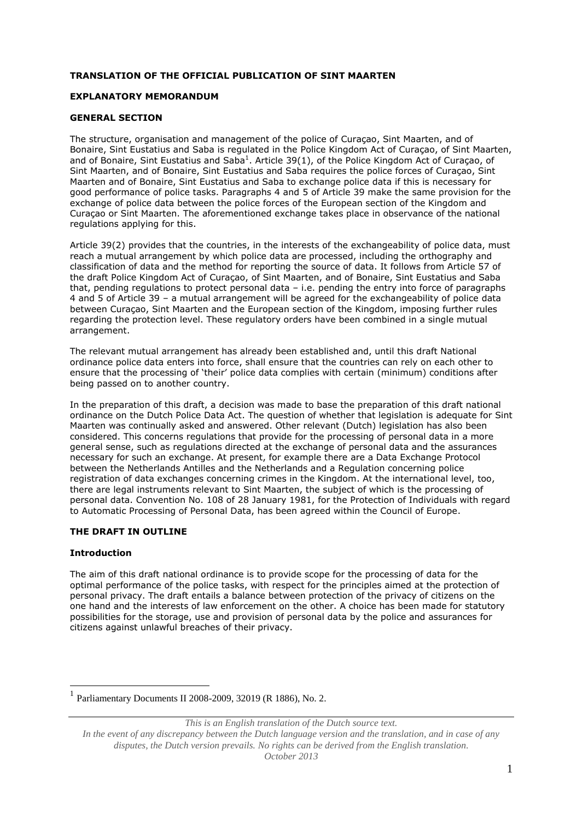# **TRANSLATION OF THE OFFICIAL PUBLICATION OF SINT MAARTEN**

# **EXPLANATORY MEMORANDUM**

# **GENERAL SECTION**

The structure, organisation and management of the police of Curaçao, Sint Maarten, and of Bonaire, Sint Eustatius and Saba is regulated in the Police Kingdom Act of Curaçao, of Sint Maarten, and of Bonaire, Sint Eustatius and Saba<sup>1</sup>. Article 39(1), of the Police Kingdom Act of Curaçao, of Sint Maarten, and of Bonaire, Sint Eustatius and Saba requires the police forces of Curaçao, Sint Maarten and of Bonaire, Sint Eustatius and Saba to exchange police data if this is necessary for good performance of police tasks. Paragraphs 4 and 5 of Article 39 make the same provision for the exchange of police data between the police forces of the European section of the Kingdom and Curaçao or Sint Maarten. The aforementioned exchange takes place in observance of the national regulations applying for this.

Article 39(2) provides that the countries, in the interests of the exchangeability of police data, must reach a mutual arrangement by which police data are processed, including the orthography and classification of data and the method for reporting the source of data. It follows from Article 57 of the draft Police Kingdom Act of Curaçao, of Sint Maarten, and of Bonaire, Sint Eustatius and Saba that, pending regulations to protect personal data – i.e. pending the entry into force of paragraphs 4 and 5 of Article 39 – a mutual arrangement will be agreed for the exchangeability of police data between Curaçao, Sint Maarten and the European section of the Kingdom, imposing further rules regarding the protection level. These regulatory orders have been combined in a single mutual arrangement.

The relevant mutual arrangement has already been established and, until this draft National ordinance police data enters into force, shall ensure that the countries can rely on each other to ensure that the processing of 'their' police data complies with certain (minimum) conditions after being passed on to another country.

In the preparation of this draft, a decision was made to base the preparation of this draft national ordinance on the Dutch Police Data Act. The question of whether that legislation is adequate for Sint Maarten was continually asked and answered. Other relevant (Dutch) legislation has also been considered. This concerns regulations that provide for the processing of personal data in a more general sense, such as regulations directed at the exchange of personal data and the assurances necessary for such an exchange. At present, for example there are a Data Exchange Protocol between the Netherlands Antilles and the Netherlands and a Regulation concerning police registration of data exchanges concerning crimes in the Kingdom. At the international level, too, there are legal instruments relevant to Sint Maarten, the subject of which is the processing of personal data. Convention No. 108 of 28 January 1981, for the Protection of Individuals with regard to Automatic Processing of Personal Data, has been agreed within the Council of Europe.

# **THE DRAFT IN OUTLINE**

# **Introduction**

 $\overline{a}$ 

The aim of this draft national ordinance is to provide scope for the processing of data for the optimal performance of the police tasks, with respect for the principles aimed at the protection of personal privacy. The draft entails a balance between protection of the privacy of citizens on the one hand and the interests of law enforcement on the other. A choice has been made for statutory possibilities for the storage, use and provision of personal data by the police and assurances for citizens against unlawful breaches of their privacy.

*This is an English translation of the Dutch source text.*

<sup>1</sup> Parliamentary Documents II 2008-2009, 32019 (R 1886), No. 2.

*In the event of any discrepancy between the Dutch language version and the translation, and in case of any disputes, the Dutch version prevails. No rights can be derived from the English translation. October 2013*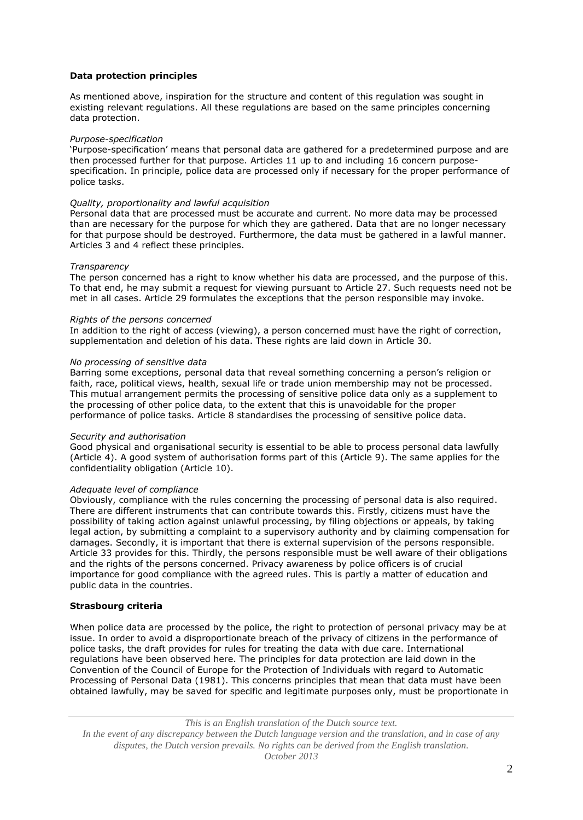# **Data protection principles**

As mentioned above, inspiration for the structure and content of this regulation was sought in existing relevant regulations. All these regulations are based on the same principles concerning data protection.

# *Purpose-specification*

'Purpose-specification' means that personal data are gathered for a predetermined purpose and are then processed further for that purpose. Articles 11 up to and including 16 concern purposespecification. In principle, police data are processed only if necessary for the proper performance of police tasks.

# *Quality, proportionality and lawful acquisition*

Personal data that are processed must be accurate and current. No more data may be processed than are necessary for the purpose for which they are gathered. Data that are no longer necessary for that purpose should be destroyed. Furthermore, the data must be gathered in a lawful manner. Articles 3 and 4 reflect these principles.

# *Transparency*

The person concerned has a right to know whether his data are processed, and the purpose of this. To that end, he may submit a request for viewing pursuant to Article 27. Such requests need not be met in all cases. Article 29 formulates the exceptions that the person responsible may invoke.

# *Rights of the persons concerned*

In addition to the right of access (viewing), a person concerned must have the right of correction, supplementation and deletion of his data. These rights are laid down in Article 30.

# *No processing of sensitive data*

Barring some exceptions, personal data that reveal something concerning a person's religion or faith, race, political views, health, sexual life or trade union membership may not be processed. This mutual arrangement permits the processing of sensitive police data only as a supplement to the processing of other police data, to the extent that this is unavoidable for the proper performance of police tasks. Article 8 standardises the processing of sensitive police data.

#### *Security and authorisation*

Good physical and organisational security is essential to be able to process personal data lawfully (Article 4). A good system of authorisation forms part of this (Article 9). The same applies for the confidentiality obligation (Article 10).

### *Adequate level of compliance*

Obviously, compliance with the rules concerning the processing of personal data is also required. There are different instruments that can contribute towards this. Firstly, citizens must have the possibility of taking action against unlawful processing, by filing objections or appeals, by taking legal action, by submitting a complaint to a supervisory authority and by claiming compensation for damages. Secondly, it is important that there is external supervision of the persons responsible. Article 33 provides for this. Thirdly, the persons responsible must be well aware of their obligations and the rights of the persons concerned. Privacy awareness by police officers is of crucial importance for good compliance with the agreed rules. This is partly a matter of education and public data in the countries.

# **Strasbourg criteria**

When police data are processed by the police, the right to protection of personal privacy may be at issue. In order to avoid a disproportionate breach of the privacy of citizens in the performance of police tasks, the draft provides for rules for treating the data with due care. International regulations have been observed here. The principles for data protection are laid down in the Convention of the Council of Europe for the Protection of Individuals with regard to Automatic Processing of Personal Data (1981). This concerns principles that mean that data must have been obtained lawfully, may be saved for specific and legitimate purposes only, must be proportionate in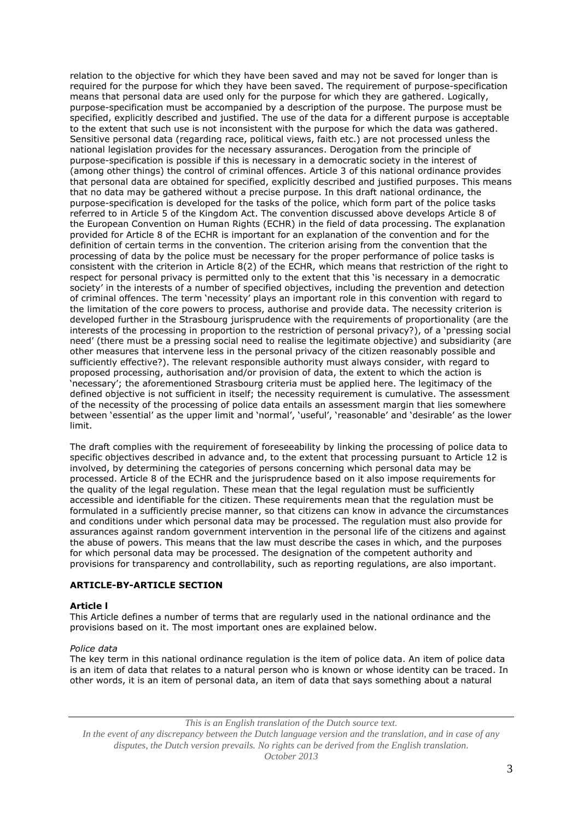relation to the objective for which they have been saved and may not be saved for longer than is required for the purpose for which they have been saved. The requirement of purpose-specification means that personal data are used only for the purpose for which they are gathered. Logically, purpose-specification must be accompanied by a description of the purpose. The purpose must be specified, explicitly described and justified. The use of the data for a different purpose is acceptable to the extent that such use is not inconsistent with the purpose for which the data was gathered. Sensitive personal data (regarding race, political views, faith etc.) are not processed unless the national legislation provides for the necessary assurances. Derogation from the principle of purpose-specification is possible if this is necessary in a democratic society in the interest of (among other things) the control of criminal offences. Article 3 of this national ordinance provides that personal data are obtained for specified, explicitly described and justified purposes. This means that no data may be gathered without a precise purpose. In this draft national ordinance, the purpose-specification is developed for the tasks of the police, which form part of the police tasks referred to in Article 5 of the Kingdom Act. The convention discussed above develops Article 8 of the European Convention on Human Rights (ECHR) in the field of data processing. The explanation provided for Article 8 of the ECHR is important for an explanation of the convention and for the definition of certain terms in the convention. The criterion arising from the convention that the processing of data by the police must be necessary for the proper performance of police tasks is consistent with the criterion in Article 8(2) of the ECHR, which means that restriction of the right to respect for personal privacy is permitted only to the extent that this 'is necessary in a democratic society' in the interests of a number of specified objectives, including the prevention and detection of criminal offences. The term 'necessity' plays an important role in this convention with regard to the limitation of the core powers to process, authorise and provide data. The necessity criterion is developed further in the Strasbourg jurisprudence with the requirements of proportionality (are the interests of the processing in proportion to the restriction of personal privacy?), of a 'pressing social need' (there must be a pressing social need to realise the legitimate objective) and subsidiarity (are other measures that intervene less in the personal privacy of the citizen reasonably possible and sufficiently effective?). The relevant responsible authority must always consider, with regard to proposed processing, authorisation and/or provision of data, the extent to which the action is 'necessary'; the aforementioned Strasbourg criteria must be applied here. The legitimacy of the defined objective is not sufficient in itself; the necessity requirement is cumulative. The assessment of the necessity of the processing of police data entails an assessment margin that lies somewhere between 'essential' as the upper limit and 'normal', 'useful', 'reasonable' and 'desirable' as the lower limit.

The draft complies with the requirement of foreseeability by linking the processing of police data to specific objectives described in advance and, to the extent that processing pursuant to Article 12 is involved, by determining the categories of persons concerning which personal data may be processed. Article 8 of the ECHR and the jurisprudence based on it also impose requirements for the quality of the legal regulation. These mean that the legal regulation must be sufficiently accessible and identifiable for the citizen. These requirements mean that the regulation must be formulated in a sufficiently precise manner, so that citizens can know in advance the circumstances and conditions under which personal data may be processed. The regulation must also provide for assurances against random government intervention in the personal life of the citizens and against the abuse of powers. This means that the law must describe the cases in which, and the purposes for which personal data may be processed. The designation of the competent authority and provisions for transparency and controllability, such as reporting regulations, are also important.

# **ARTICLE-BY-ARTICLE SECTION**

# **Article l**

This Article defines a number of terms that are regularly used in the national ordinance and the provisions based on it. The most important ones are explained below.

#### *Police data*

The key term in this national ordinance regulation is the item of police data. An item of police data is an item of data that relates to a natural person who is known or whose identity can be traced. In other words, it is an item of personal data, an item of data that says something about a natural

*This is an English translation of the Dutch source text.*

*In the event of any discrepancy between the Dutch language version and the translation, and in case of any disputes, the Dutch version prevails. No rights can be derived from the English translation. October 2013*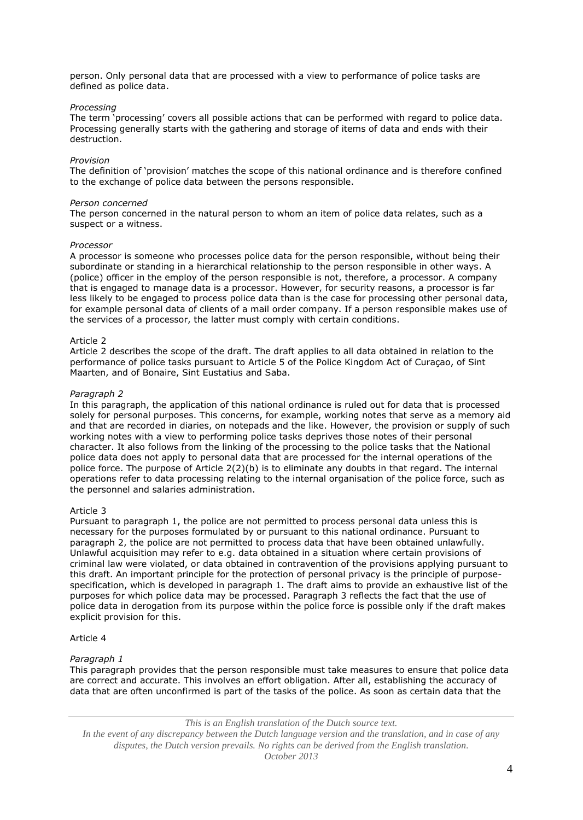person. Only personal data that are processed with a view to performance of police tasks are defined as police data.

### *Processing*

The term 'processing' covers all possible actions that can be performed with regard to police data. Processing generally starts with the gathering and storage of items of data and ends with their destruction.

### *Provision*

The definition of 'provision' matches the scope of this national ordinance and is therefore confined to the exchange of police data between the persons responsible.

#### *Person concerned*

The person concerned in the natural person to whom an item of police data relates, such as a suspect or a witness.

#### *Processor*

A processor is someone who processes police data for the person responsible, without being their subordinate or standing in a hierarchical relationship to the person responsible in other ways. A (police) officer in the employ of the person responsible is not, therefore, a processor. A company that is engaged to manage data is a processor. However, for security reasons, a processor is far less likely to be engaged to process police data than is the case for processing other personal data, for example personal data of clients of a mail order company. If a person responsible makes use of the services of a processor, the latter must comply with certain conditions.

#### Article 2

Article 2 describes the scope of the draft. The draft applies to all data obtained in relation to the performance of police tasks pursuant to Article 5 of the Police Kingdom Act of Curaçao, of Sint Maarten, and of Bonaire, Sint Eustatius and Saba.

#### *Paragraph 2*

In this paragraph, the application of this national ordinance is ruled out for data that is processed solely for personal purposes. This concerns, for example, working notes that serve as a memory aid and that are recorded in diaries, on notepads and the like. However, the provision or supply of such working notes with a view to performing police tasks deprives those notes of their personal character. It also follows from the linking of the processing to the police tasks that the National police data does not apply to personal data that are processed for the internal operations of the police force. The purpose of Article 2(2)(b) is to eliminate any doubts in that regard. The internal operations refer to data processing relating to the internal organisation of the police force, such as the personnel and salaries administration.

#### Article 3

Pursuant to paragraph 1, the police are not permitted to process personal data unless this is necessary for the purposes formulated by or pursuant to this national ordinance. Pursuant to paragraph 2, the police are not permitted to process data that have been obtained unlawfully. Unlawful acquisition may refer to e.g. data obtained in a situation where certain provisions of criminal law were violated, or data obtained in contravention of the provisions applying pursuant to this draft. An important principle for the protection of personal privacy is the principle of purposespecification, which is developed in paragraph 1. The draft aims to provide an exhaustive list of the purposes for which police data may be processed. Paragraph 3 reflects the fact that the use of police data in derogation from its purpose within the police force is possible only if the draft makes explicit provision for this.

# Article 4

# *Paragraph 1*

This paragraph provides that the person responsible must take measures to ensure that police data are correct and accurate. This involves an effort obligation. After all, establishing the accuracy of data that are often unconfirmed is part of the tasks of the police. As soon as certain data that the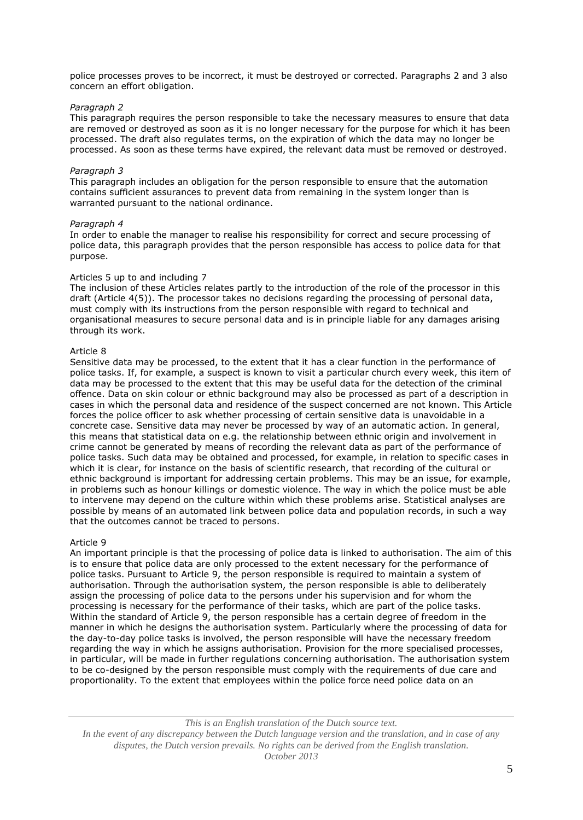police processes proves to be incorrect, it must be destroyed or corrected. Paragraphs 2 and 3 also concern an effort obligation.

# *Paragraph 2*

This paragraph requires the person responsible to take the necessary measures to ensure that data are removed or destroyed as soon as it is no longer necessary for the purpose for which it has been processed. The draft also regulates terms, on the expiration of which the data may no longer be processed. As soon as these terms have expired, the relevant data must be removed or destroyed.

#### *Paragraph 3*

This paragraph includes an obligation for the person responsible to ensure that the automation contains sufficient assurances to prevent data from remaining in the system longer than is warranted pursuant to the national ordinance.

#### *Paragraph 4*

In order to enable the manager to realise his responsibility for correct and secure processing of police data, this paragraph provides that the person responsible has access to police data for that purpose.

# Articles 5 up to and including 7

The inclusion of these Articles relates partly to the introduction of the role of the processor in this draft (Article 4(5)). The processor takes no decisions regarding the processing of personal data, must comply with its instructions from the person responsible with regard to technical and organisational measures to secure personal data and is in principle liable for any damages arising through its work.

# Article 8

Sensitive data may be processed, to the extent that it has a clear function in the performance of police tasks. If, for example, a suspect is known to visit a particular church every week, this item of data may be processed to the extent that this may be useful data for the detection of the criminal offence. Data on skin colour or ethnic background may also be processed as part of a description in cases in which the personal data and residence of the suspect concerned are not known. This Article forces the police officer to ask whether processing of certain sensitive data is unavoidable in a concrete case. Sensitive data may never be processed by way of an automatic action. In general, this means that statistical data on e.g. the relationship between ethnic origin and involvement in crime cannot be generated by means of recording the relevant data as part of the performance of police tasks. Such data may be obtained and processed, for example, in relation to specific cases in which it is clear, for instance on the basis of scientific research, that recording of the cultural or ethnic background is important for addressing certain problems. This may be an issue, for example, in problems such as honour killings or domestic violence. The way in which the police must be able to intervene may depend on the culture within which these problems arise. Statistical analyses are possible by means of an automated link between police data and population records, in such a way that the outcomes cannot be traced to persons.

#### Article 9

An important principle is that the processing of police data is linked to authorisation. The aim of this is to ensure that police data are only processed to the extent necessary for the performance of police tasks. Pursuant to Article 9, the person responsible is required to maintain a system of authorisation. Through the authorisation system, the person responsible is able to deliberately assign the processing of police data to the persons under his supervision and for whom the processing is necessary for the performance of their tasks, which are part of the police tasks. Within the standard of Article 9, the person responsible has a certain degree of freedom in the manner in which he designs the authorisation system. Particularly where the processing of data for the day-to-day police tasks is involved, the person responsible will have the necessary freedom regarding the way in which he assigns authorisation. Provision for the more specialised processes, in particular, will be made in further regulations concerning authorisation. The authorisation system to be co-designed by the person responsible must comply with the requirements of due care and proportionality. To the extent that employees within the police force need police data on an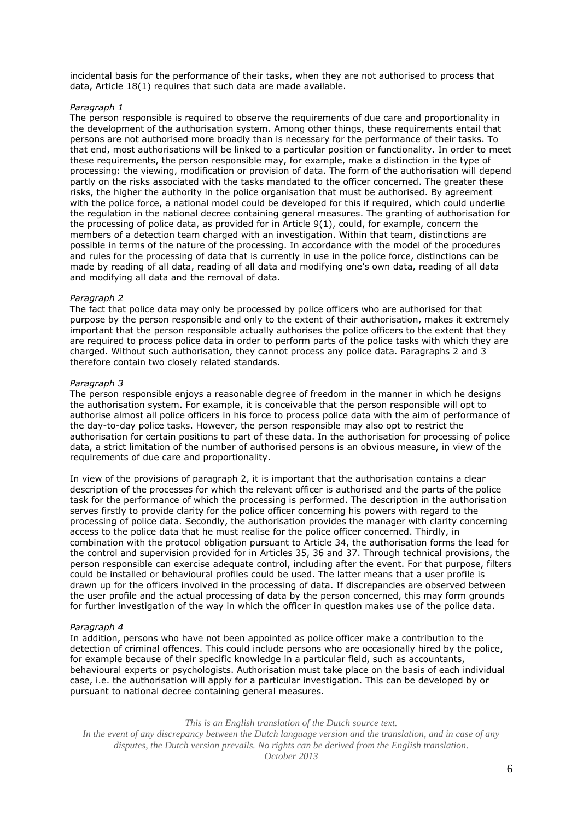incidental basis for the performance of their tasks, when they are not authorised to process that data, Article 18(1) requires that such data are made available.

# *Paragraph 1*

The person responsible is required to observe the requirements of due care and proportionality in the development of the authorisation system. Among other things, these requirements entail that persons are not authorised more broadly than is necessary for the performance of their tasks. To that end, most authorisations will be linked to a particular position or functionality. In order to meet these requirements, the person responsible may, for example, make a distinction in the type of processing: the viewing, modification or provision of data. The form of the authorisation will depend partly on the risks associated with the tasks mandated to the officer concerned. The greater these risks, the higher the authority in the police organisation that must be authorised. By agreement with the police force, a national model could be developed for this if required, which could underlie the regulation in the national decree containing general measures. The granting of authorisation for the processing of police data, as provided for in Article 9(1), could, for example, concern the members of a detection team charged with an investigation. Within that team, distinctions are possible in terms of the nature of the processing. In accordance with the model of the procedures and rules for the processing of data that is currently in use in the police force, distinctions can be made by reading of all data, reading of all data and modifying one's own data, reading of all data and modifying all data and the removal of data.

#### *Paragraph 2*

The fact that police data may only be processed by police officers who are authorised for that purpose by the person responsible and only to the extent of their authorisation, makes it extremely important that the person responsible actually authorises the police officers to the extent that they are required to process police data in order to perform parts of the police tasks with which they are charged. Without such authorisation, they cannot process any police data. Paragraphs 2 and 3 therefore contain two closely related standards.

#### *Paragraph 3*

The person responsible enjoys a reasonable degree of freedom in the manner in which he designs the authorisation system. For example, it is conceivable that the person responsible will opt to authorise almost all police officers in his force to process police data with the aim of performance of the day-to-day police tasks. However, the person responsible may also opt to restrict the authorisation for certain positions to part of these data. In the authorisation for processing of police data, a strict limitation of the number of authorised persons is an obvious measure, in view of the requirements of due care and proportionality.

In view of the provisions of paragraph 2, it is important that the authorisation contains a clear description of the processes for which the relevant officer is authorised and the parts of the police task for the performance of which the processing is performed. The description in the authorisation serves firstly to provide clarity for the police officer concerning his powers with regard to the processing of police data. Secondly, the authorisation provides the manager with clarity concerning access to the police data that he must realise for the police officer concerned. Thirdly, in combination with the protocol obligation pursuant to Article 34, the authorisation forms the lead for the control and supervision provided for in Articles 35, 36 and 37. Through technical provisions, the person responsible can exercise adequate control, including after the event. For that purpose, filters could be installed or behavioural profiles could be used. The latter means that a user profile is drawn up for the officers involved in the processing of data. If discrepancies are observed between the user profile and the actual processing of data by the person concerned, this may form grounds for further investigation of the way in which the officer in question makes use of the police data.

#### *Paragraph 4*

In addition, persons who have not been appointed as police officer make a contribution to the detection of criminal offences. This could include persons who are occasionally hired by the police, for example because of their specific knowledge in a particular field, such as accountants, behavioural experts or psychologists. Authorisation must take place on the basis of each individual case, i.e. the authorisation will apply for a particular investigation. This can be developed by or pursuant to national decree containing general measures.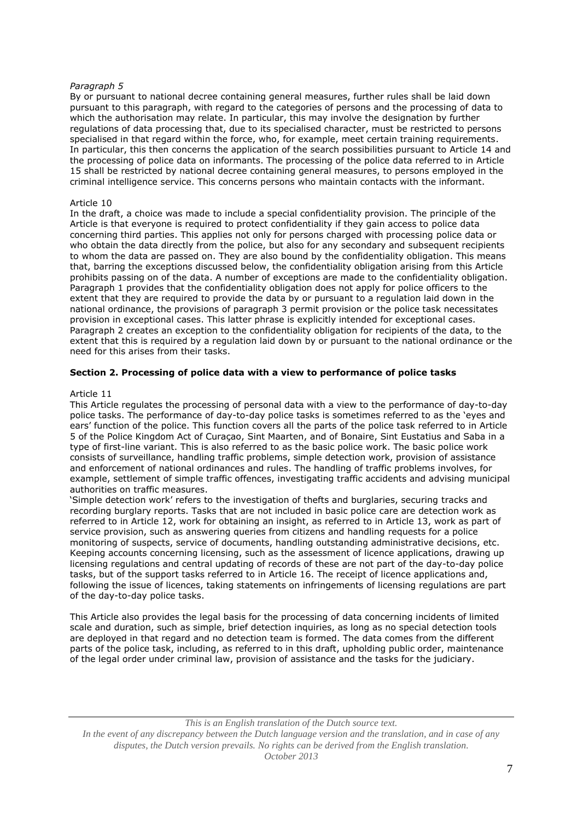By or pursuant to national decree containing general measures, further rules shall be laid down pursuant to this paragraph, with regard to the categories of persons and the processing of data to which the authorisation may relate. In particular, this may involve the designation by further regulations of data processing that, due to its specialised character, must be restricted to persons specialised in that regard within the force, who, for example, meet certain training requirements. In particular, this then concerns the application of the search possibilities pursuant to Article 14 and the processing of police data on informants. The processing of the police data referred to in Article 15 shall be restricted by national decree containing general measures, to persons employed in the criminal intelligence service. This concerns persons who maintain contacts with the informant.

### Article 10

In the draft, a choice was made to include a special confidentiality provision. The principle of the Article is that everyone is required to protect confidentiality if they gain access to police data concerning third parties. This applies not only for persons charged with processing police data or who obtain the data directly from the police, but also for any secondary and subsequent recipients to whom the data are passed on. They are also bound by the confidentiality obligation. This means that, barring the exceptions discussed below, the confidentiality obligation arising from this Article prohibits passing on of the data. A number of exceptions are made to the confidentiality obligation. Paragraph 1 provides that the confidentiality obligation does not apply for police officers to the extent that they are required to provide the data by or pursuant to a regulation laid down in the national ordinance, the provisions of paragraph 3 permit provision or the police task necessitates provision in exceptional cases. This latter phrase is explicitly intended for exceptional cases. Paragraph 2 creates an exception to the confidentiality obligation for recipients of the data, to the extent that this is required by a regulation laid down by or pursuant to the national ordinance or the need for this arises from their tasks.

# **Section 2. Processing of police data with a view to performance of police tasks**

#### Article 11

This Article regulates the processing of personal data with a view to the performance of day-to-day police tasks. The performance of day-to-day police tasks is sometimes referred to as the 'eyes and ears' function of the police. This function covers all the parts of the police task referred to in Article 5 of the Police Kingdom Act of Curaçao, Sint Maarten, and of Bonaire, Sint Eustatius and Saba in a type of first-line variant. This is also referred to as the basic police work. The basic police work consists of surveillance, handling traffic problems, simple detection work, provision of assistance and enforcement of national ordinances and rules. The handling of traffic problems involves, for example, settlement of simple traffic offences, investigating traffic accidents and advising municipal authorities on traffic measures.

'Simple detection work' refers to the investigation of thefts and burglaries, securing tracks and recording burglary reports. Tasks that are not included in basic police care are detection work as referred to in Article 12, work for obtaining an insight, as referred to in Article 13, work as part of service provision, such as answering queries from citizens and handling requests for a police monitoring of suspects, service of documents, handling outstanding administrative decisions, etc. Keeping accounts concerning licensing, such as the assessment of licence applications, drawing up licensing regulations and central updating of records of these are not part of the day-to-day police tasks, but of the support tasks referred to in Article 16. The receipt of licence applications and, following the issue of licences, taking statements on infringements of licensing regulations are part of the day-to-day police tasks.

This Article also provides the legal basis for the processing of data concerning incidents of limited scale and duration, such as simple, brief detection inquiries, as long as no special detection tools are deployed in that regard and no detection team is formed. The data comes from the different parts of the police task, including, as referred to in this draft, upholding public order, maintenance of the legal order under criminal law, provision of assistance and the tasks for the judiciary.

*This is an English translation of the Dutch source text.*

*In the event of any discrepancy between the Dutch language version and the translation, and in case of any disputes, the Dutch version prevails. No rights can be derived from the English translation. October 2013*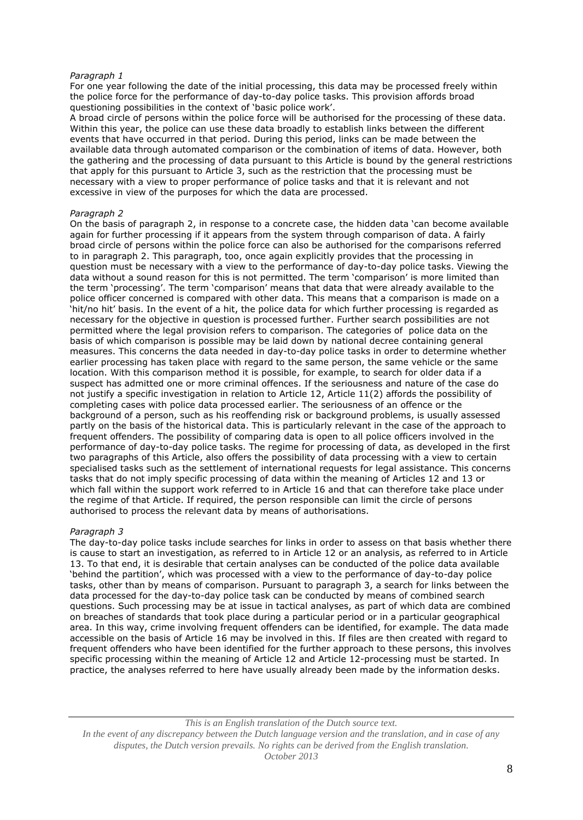For one year following the date of the initial processing, this data may be processed freely within the police force for the performance of day-to-day police tasks. This provision affords broad questioning possibilities in the context of 'basic police work'.

A broad circle of persons within the police force will be authorised for the processing of these data. Within this year, the police can use these data broadly to establish links between the different events that have occurred in that period. During this period, links can be made between the available data through automated comparison or the combination of items of data. However, both the gathering and the processing of data pursuant to this Article is bound by the general restrictions that apply for this pursuant to Article 3, such as the restriction that the processing must be necessary with a view to proper performance of police tasks and that it is relevant and not excessive in view of the purposes for which the data are processed.

# *Paragraph 2*

On the basis of paragraph 2, in response to a concrete case, the hidden data 'can become available again for further processing if it appears from the system through comparison of data. A fairly broad circle of persons within the police force can also be authorised for the comparisons referred to in paragraph 2. This paragraph, too, once again explicitly provides that the processing in question must be necessary with a view to the performance of day-to-day police tasks. Viewing the data without a sound reason for this is not permitted. The term 'comparison' is more limited than the term 'processing'. The term 'comparison' means that data that were already available to the police officer concerned is compared with other data. This means that a comparison is made on a 'hit/no hit' basis. In the event of a hit, the police data for which further processing is regarded as necessary for the objective in question is processed further. Further search possibilities are not permitted where the legal provision refers to comparison. The categories of police data on the basis of which comparison is possible may be laid down by national decree containing general measures. This concerns the data needed in day-to-day police tasks in order to determine whether earlier processing has taken place with regard to the same person, the same vehicle or the same location. With this comparison method it is possible, for example, to search for older data if a suspect has admitted one or more criminal offences. If the seriousness and nature of the case do not justify a specific investigation in relation to Article 12, Article 11(2) affords the possibility of completing cases with police data processed earlier. The seriousness of an offence or the background of a person, such as his reoffending risk or background problems, is usually assessed partly on the basis of the historical data. This is particularly relevant in the case of the approach to frequent offenders. The possibility of comparing data is open to all police officers involved in the performance of day-to-day police tasks. The regime for processing of data, as developed in the first two paragraphs of this Article, also offers the possibility of data processing with a view to certain specialised tasks such as the settlement of international requests for legal assistance. This concerns tasks that do not imply specific processing of data within the meaning of Articles 12 and 13 or which fall within the support work referred to in Article 16 and that can therefore take place under the regime of that Article. If required, the person responsible can limit the circle of persons authorised to process the relevant data by means of authorisations.

# *Paragraph 3*

The day-to-day police tasks include searches for links in order to assess on that basis whether there is cause to start an investigation, as referred to in Article 12 or an analysis, as referred to in Article 13. To that end, it is desirable that certain analyses can be conducted of the police data available 'behind the partition', which was processed with a view to the performance of day-to-day police tasks, other than by means of comparison. Pursuant to paragraph 3, a search for links between the data processed for the day-to-day police task can be conducted by means of combined search questions. Such processing may be at issue in tactical analyses, as part of which data are combined on breaches of standards that took place during a particular period or in a particular geographical area. In this way, crime involving frequent offenders can be identified, for example. The data made accessible on the basis of Article 16 may be involved in this. If files are then created with regard to frequent offenders who have been identified for the further approach to these persons, this involves specific processing within the meaning of Article 12 and Article 12-processing must be started. In practice, the analyses referred to here have usually already been made by the information desks.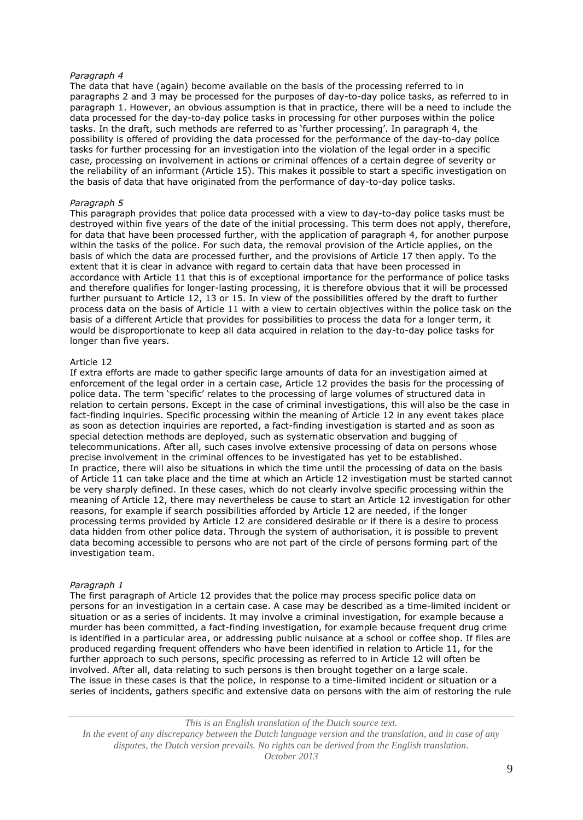The data that have (again) become available on the basis of the processing referred to in paragraphs 2 and 3 may be processed for the purposes of day-to-day police tasks, as referred to in paragraph 1. However, an obvious assumption is that in practice, there will be a need to include the data processed for the day-to-day police tasks in processing for other purposes within the police tasks. In the draft, such methods are referred to as 'further processing'. In paragraph 4, the possibility is offered of providing the data processed for the performance of the day-to-day police tasks for further processing for an investigation into the violation of the legal order in a specific case, processing on involvement in actions or criminal offences of a certain degree of severity or the reliability of an informant (Article 15). This makes it possible to start a specific investigation on the basis of data that have originated from the performance of day-to-day police tasks.

### *Paragraph 5*

This paragraph provides that police data processed with a view to day-to-day police tasks must be destroyed within five years of the date of the initial processing. This term does not apply, therefore, for data that have been processed further, with the application of paragraph 4, for another purpose within the tasks of the police. For such data, the removal provision of the Article applies, on the basis of which the data are processed further, and the provisions of Article 17 then apply. To the extent that it is clear in advance with regard to certain data that have been processed in accordance with Article 11 that this is of exceptional importance for the performance of police tasks and therefore qualifies for longer-lasting processing, it is therefore obvious that it will be processed further pursuant to Article 12, 13 or 15. In view of the possibilities offered by the draft to further process data on the basis of Article 11 with a view to certain objectives within the police task on the basis of a different Article that provides for possibilities to process the data for a longer term, it would be disproportionate to keep all data acquired in relation to the day-to-day police tasks for longer than five years.

# Article 12

If extra efforts are made to gather specific large amounts of data for an investigation aimed at enforcement of the legal order in a certain case, Article 12 provides the basis for the processing of police data. The term 'specific' relates to the processing of large volumes of structured data in relation to certain persons. Except in the case of criminal investigations, this will also be the case in fact-finding inquiries. Specific processing within the meaning of Article 12 in any event takes place as soon as detection inquiries are reported, a fact-finding investigation is started and as soon as special detection methods are deployed, such as systematic observation and bugging of telecommunications. After all, such cases involve extensive processing of data on persons whose precise involvement in the criminal offences to be investigated has yet to be established. In practice, there will also be situations in which the time until the processing of data on the basis of Article 11 can take place and the time at which an Article 12 investigation must be started cannot be very sharply defined. In these cases, which do not clearly involve specific processing within the meaning of Article 12, there may nevertheless be cause to start an Article 12 investigation for other reasons, for example if search possibilities afforded by Article 12 are needed, if the longer processing terms provided by Article 12 are considered desirable or if there is a desire to process data hidden from other police data. Through the system of authorisation, it is possible to prevent data becoming accessible to persons who are not part of the circle of persons forming part of the investigation team.

#### *Paragraph 1*

The first paragraph of Article 12 provides that the police may process specific police data on persons for an investigation in a certain case. A case may be described as a time-limited incident or situation or as a series of incidents. It may involve a criminal investigation, for example because a murder has been committed, a fact-finding investigation, for example because frequent drug crime is identified in a particular area, or addressing public nuisance at a school or coffee shop. If files are produced regarding frequent offenders who have been identified in relation to Article 11, for the further approach to such persons, specific processing as referred to in Article 12 will often be involved. After all, data relating to such persons is then brought together on a large scale. The issue in these cases is that the police, in response to a time-limited incident or situation or a series of incidents, gathers specific and extensive data on persons with the aim of restoring the rule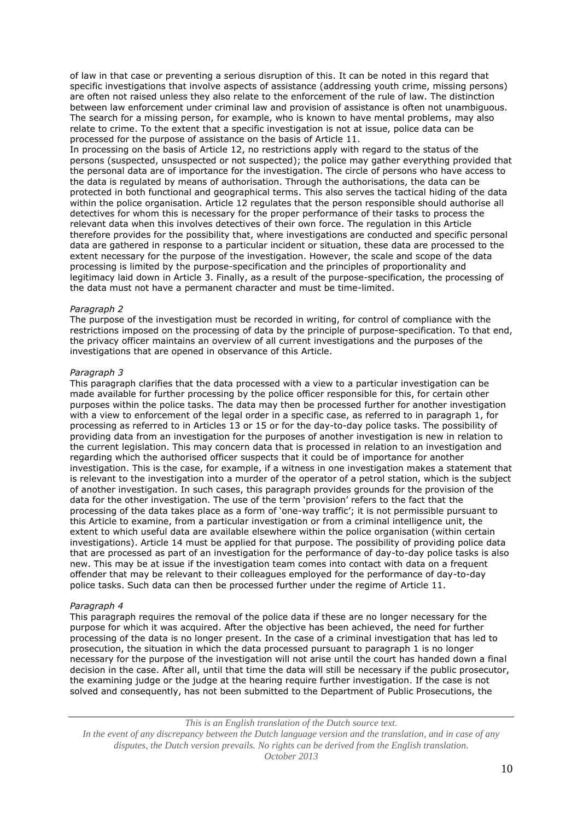of law in that case or preventing a serious disruption of this. It can be noted in this regard that specific investigations that involve aspects of assistance (addressing youth crime, missing persons) are often not raised unless they also relate to the enforcement of the rule of law. The distinction between law enforcement under criminal law and provision of assistance is often not unambiguous. The search for a missing person, for example, who is known to have mental problems, may also relate to crime. To the extent that a specific investigation is not at issue, police data can be processed for the purpose of assistance on the basis of Article 11.

In processing on the basis of Article 12, no restrictions apply with regard to the status of the persons (suspected, unsuspected or not suspected); the police may gather everything provided that the personal data are of importance for the investigation. The circle of persons who have access to the data is regulated by means of authorisation. Through the authorisations, the data can be protected in both functional and geographical terms. This also serves the tactical hiding of the data within the police organisation. Article 12 regulates that the person responsible should authorise all detectives for whom this is necessary for the proper performance of their tasks to process the relevant data when this involves detectives of their own force. The regulation in this Article therefore provides for the possibility that, where investigations are conducted and specific personal data are gathered in response to a particular incident or situation, these data are processed to the extent necessary for the purpose of the investigation. However, the scale and scope of the data processing is limited by the purpose-specification and the principles of proportionality and legitimacy laid down in Article 3. Finally, as a result of the purpose-specification, the processing of the data must not have a permanent character and must be time-limited.

# *Paragraph 2*

The purpose of the investigation must be recorded in writing, for control of compliance with the restrictions imposed on the processing of data by the principle of purpose-specification. To that end, the privacy officer maintains an overview of all current investigations and the purposes of the investigations that are opened in observance of this Article.

# *Paragraph 3*

This paragraph clarifies that the data processed with a view to a particular investigation can be made available for further processing by the police officer responsible for this, for certain other purposes within the police tasks. The data may then be processed further for another investigation with a view to enforcement of the legal order in a specific case, as referred to in paragraph 1, for processing as referred to in Articles 13 or 15 or for the day-to-day police tasks. The possibility of providing data from an investigation for the purposes of another investigation is new in relation to the current legislation. This may concern data that is processed in relation to an investigation and regarding which the authorised officer suspects that it could be of importance for another investigation. This is the case, for example, if a witness in one investigation makes a statement that is relevant to the investigation into a murder of the operator of a petrol station, which is the subject of another investigation. In such cases, this paragraph provides grounds for the provision of the data for the other investigation. The use of the term 'provision' refers to the fact that the processing of the data takes place as a form of 'one-way traffic'; it is not permissible pursuant to this Article to examine, from a particular investigation or from a criminal intelligence unit, the extent to which useful data are available elsewhere within the police organisation (within certain investigations). Article 14 must be applied for that purpose. The possibility of providing police data that are processed as part of an investigation for the performance of day-to-day police tasks is also new. This may be at issue if the investigation team comes into contact with data on a frequent offender that may be relevant to their colleagues employed for the performance of day-to-day police tasks. Such data can then be processed further under the regime of Article 11.

#### *Paragraph 4*

This paragraph requires the removal of the police data if these are no longer necessary for the purpose for which it was acquired. After the objective has been achieved, the need for further processing of the data is no longer present. In the case of a criminal investigation that has led to prosecution, the situation in which the data processed pursuant to paragraph 1 is no longer necessary for the purpose of the investigation will not arise until the court has handed down a final decision in the case. After all, until that time the data will still be necessary if the public prosecutor, the examining judge or the judge at the hearing require further investigation. If the case is not solved and consequently, has not been submitted to the Department of Public Prosecutions, the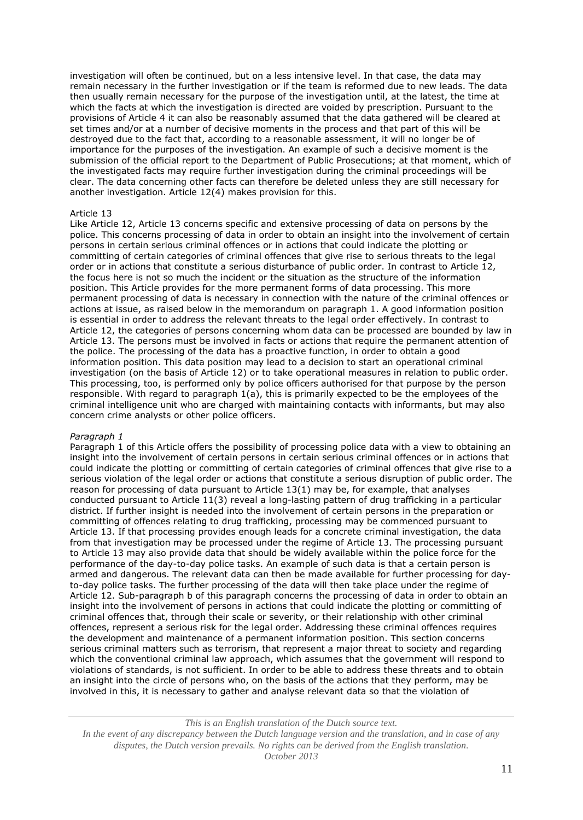investigation will often be continued, but on a less intensive level. In that case, the data may remain necessary in the further investigation or if the team is reformed due to new leads. The data then usually remain necessary for the purpose of the investigation until, at the latest, the time at which the facts at which the investigation is directed are voided by prescription. Pursuant to the provisions of Article 4 it can also be reasonably assumed that the data gathered will be cleared at set times and/or at a number of decisive moments in the process and that part of this will be destroyed due to the fact that, according to a reasonable assessment, it will no longer be of importance for the purposes of the investigation. An example of such a decisive moment is the submission of the official report to the Department of Public Prosecutions; at that moment, which of the investigated facts may require further investigation during the criminal proceedings will be clear. The data concerning other facts can therefore be deleted unless they are still necessary for another investigation. Article 12(4) makes provision for this.

#### Article 13

Like Article 12, Article 13 concerns specific and extensive processing of data on persons by the police. This concerns processing of data in order to obtain an insight into the involvement of certain persons in certain serious criminal offences or in actions that could indicate the plotting or committing of certain categories of criminal offences that give rise to serious threats to the legal order or in actions that constitute a serious disturbance of public order. In contrast to Article 12, the focus here is not so much the incident or the situation as the structure of the information position. This Article provides for the more permanent forms of data processing. This more permanent processing of data is necessary in connection with the nature of the criminal offences or actions at issue, as raised below in the memorandum on paragraph 1. A good information position is essential in order to address the relevant threats to the legal order effectively. In contrast to Article 12, the categories of persons concerning whom data can be processed are bounded by law in Article 13. The persons must be involved in facts or actions that require the permanent attention of the police. The processing of the data has a proactive function, in order to obtain a good information position. This data position may lead to a decision to start an operational criminal investigation (on the basis of Article 12) or to take operational measures in relation to public order. This processing, too, is performed only by police officers authorised for that purpose by the person responsible. With regard to paragraph 1(a), this is primarily expected to be the employees of the criminal intelligence unit who are charged with maintaining contacts with informants, but may also concern crime analysts or other police officers.

#### *Paragraph 1*

Paragraph 1 of this Article offers the possibility of processing police data with a view to obtaining an insight into the involvement of certain persons in certain serious criminal offences or in actions that could indicate the plotting or committing of certain categories of criminal offences that give rise to a serious violation of the legal order or actions that constitute a serious disruption of public order. The reason for processing of data pursuant to Article 13(1) may be, for example, that analyses conducted pursuant to Article 11(3) reveal a long-lasting pattern of drug trafficking in a particular district. If further insight is needed into the involvement of certain persons in the preparation or committing of offences relating to drug trafficking, processing may be commenced pursuant to Article 13. If that processing provides enough leads for a concrete criminal investigation, the data from that investigation may be processed under the regime of Article 13. The processing pursuant to Article 13 may also provide data that should be widely available within the police force for the performance of the day-to-day police tasks. An example of such data is that a certain person is armed and dangerous. The relevant data can then be made available for further processing for dayto-day police tasks. The further processing of the data will then take place under the regime of Article 12. Sub-paragraph b of this paragraph concerns the processing of data in order to obtain an insight into the involvement of persons in actions that could indicate the plotting or committing of criminal offences that, through their scale or severity, or their relationship with other criminal offences, represent a serious risk for the legal order. Addressing these criminal offences requires the development and maintenance of a permanent information position. This section concerns serious criminal matters such as terrorism, that represent a major threat to society and regarding which the conventional criminal law approach, which assumes that the government will respond to violations of standards, is not sufficient. In order to be able to address these threats and to obtain an insight into the circle of persons who, on the basis of the actions that they perform, may be involved in this, it is necessary to gather and analyse relevant data so that the violation of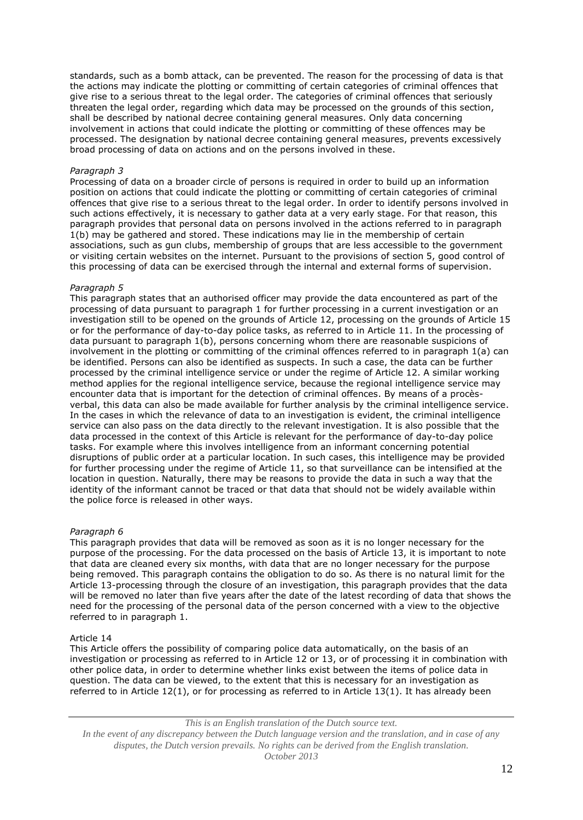standards, such as a bomb attack, can be prevented. The reason for the processing of data is that the actions may indicate the plotting or committing of certain categories of criminal offences that give rise to a serious threat to the legal order. The categories of criminal offences that seriously threaten the legal order, regarding which data may be processed on the grounds of this section, shall be described by national decree containing general measures. Only data concerning involvement in actions that could indicate the plotting or committing of these offences may be processed. The designation by national decree containing general measures, prevents excessively broad processing of data on actions and on the persons involved in these.

### *Paragraph 3*

Processing of data on a broader circle of persons is required in order to build up an information position on actions that could indicate the plotting or committing of certain categories of criminal offences that give rise to a serious threat to the legal order. In order to identify persons involved in such actions effectively, it is necessary to gather data at a very early stage. For that reason, this paragraph provides that personal data on persons involved in the actions referred to in paragraph 1(b) may be gathered and stored. These indications may lie in the membership of certain associations, such as gun clubs, membership of groups that are less accessible to the government or visiting certain websites on the internet. Pursuant to the provisions of section 5, good control of this processing of data can be exercised through the internal and external forms of supervision.

### *Paragraph 5*

This paragraph states that an authorised officer may provide the data encountered as part of the processing of data pursuant to paragraph 1 for further processing in a current investigation or an investigation still to be opened on the grounds of Article 12, processing on the grounds of Article 15 or for the performance of day-to-day police tasks, as referred to in Article 11. In the processing of data pursuant to paragraph 1(b), persons concerning whom there are reasonable suspicions of involvement in the plotting or committing of the criminal offences referred to in paragraph 1(a) can be identified. Persons can also be identified as suspects. In such a case, the data can be further processed by the criminal intelligence service or under the regime of Article 12. A similar working method applies for the regional intelligence service, because the regional intelligence service may encounter data that is important for the detection of criminal offences. By means of a procèsverbal, this data can also be made available for further analysis by the criminal intelligence service. In the cases in which the relevance of data to an investigation is evident, the criminal intelligence service can also pass on the data directly to the relevant investigation. It is also possible that the data processed in the context of this Article is relevant for the performance of day-to-day police tasks. For example where this involves intelligence from an informant concerning potential disruptions of public order at a particular location. In such cases, this intelligence may be provided for further processing under the regime of Article 11, so that surveillance can be intensified at the location in question. Naturally, there may be reasons to provide the data in such a way that the identity of the informant cannot be traced or that data that should not be widely available within the police force is released in other ways.

### *Paragraph 6*

This paragraph provides that data will be removed as soon as it is no longer necessary for the purpose of the processing. For the data processed on the basis of Article 13, it is important to note that data are cleaned every six months, with data that are no longer necessary for the purpose being removed. This paragraph contains the obligation to do so. As there is no natural limit for the Article 13-processing through the closure of an investigation, this paragraph provides that the data will be removed no later than five years after the date of the latest recording of data that shows the need for the processing of the personal data of the person concerned with a view to the objective referred to in paragraph 1.

#### Article 14

This Article offers the possibility of comparing police data automatically, on the basis of an investigation or processing as referred to in Article 12 or 13, or of processing it in combination with other police data, in order to determine whether links exist between the items of police data in question. The data can be viewed, to the extent that this is necessary for an investigation as referred to in Article 12(1), or for processing as referred to in Article 13(1). It has already been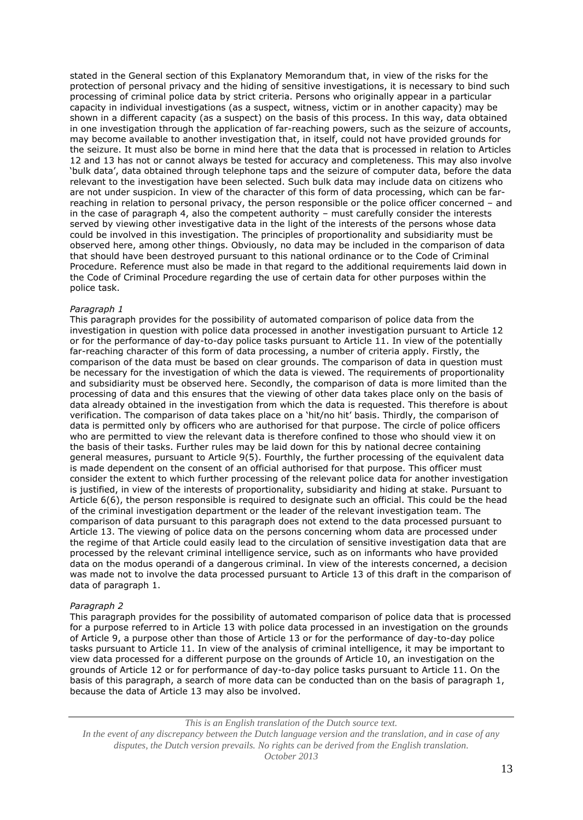stated in the General section of this Explanatory Memorandum that, in view of the risks for the protection of personal privacy and the hiding of sensitive investigations, it is necessary to bind such processing of criminal police data by strict criteria. Persons who originally appear in a particular capacity in individual investigations (as a suspect, witness, victim or in another capacity) may be shown in a different capacity (as a suspect) on the basis of this process. In this way, data obtained in one investigation through the application of far-reaching powers, such as the seizure of accounts, may become available to another investigation that, in itself, could not have provided grounds for the seizure. It must also be borne in mind here that the data that is processed in relation to Articles 12 and 13 has not or cannot always be tested for accuracy and completeness. This may also involve 'bulk data', data obtained through telephone taps and the seizure of computer data, before the data relevant to the investigation have been selected. Such bulk data may include data on citizens who are not under suspicion. In view of the character of this form of data processing, which can be farreaching in relation to personal privacy, the person responsible or the police officer concerned – and in the case of paragraph 4, also the competent authority – must carefully consider the interests served by viewing other investigative data in the light of the interests of the persons whose data could be involved in this investigation. The principles of proportionality and subsidiarity must be observed here, among other things. Obviously, no data may be included in the comparison of data that should have been destroyed pursuant to this national ordinance or to the Code of Criminal Procedure. Reference must also be made in that regard to the additional requirements laid down in the Code of Criminal Procedure regarding the use of certain data for other purposes within the police task.

# *Paragraph 1*

This paragraph provides for the possibility of automated comparison of police data from the investigation in question with police data processed in another investigation pursuant to Article 12 or for the performance of day-to-day police tasks pursuant to Article 11. In view of the potentially far-reaching character of this form of data processing, a number of criteria apply. Firstly, the comparison of the data must be based on clear grounds. The comparison of data in question must be necessary for the investigation of which the data is viewed. The requirements of proportionality and subsidiarity must be observed here. Secondly, the comparison of data is more limited than the processing of data and this ensures that the viewing of other data takes place only on the basis of data already obtained in the investigation from which the data is requested. This therefore is about verification. The comparison of data takes place on a 'hit/no hit' basis. Thirdly, the comparison of data is permitted only by officers who are authorised for that purpose. The circle of police officers who are permitted to view the relevant data is therefore confined to those who should view it on the basis of their tasks. Further rules may be laid down for this by national decree containing general measures, pursuant to Article 9(5). Fourthly, the further processing of the equivalent data is made dependent on the consent of an official authorised for that purpose. This officer must consider the extent to which further processing of the relevant police data for another investigation is justified, in view of the interests of proportionality, subsidiarity and hiding at stake. Pursuant to Article 6(6), the person responsible is required to designate such an official. This could be the head of the criminal investigation department or the leader of the relevant investigation team. The comparison of data pursuant to this paragraph does not extend to the data processed pursuant to Article 13. The viewing of police data on the persons concerning whom data are processed under the regime of that Article could easily lead to the circulation of sensitive investigation data that are processed by the relevant criminal intelligence service, such as on informants who have provided data on the modus operandi of a dangerous criminal. In view of the interests concerned, a decision was made not to involve the data processed pursuant to Article 13 of this draft in the comparison of data of paragraph 1.

#### *Paragraph 2*

This paragraph provides for the possibility of automated comparison of police data that is processed for a purpose referred to in Article 13 with police data processed in an investigation on the grounds of Article 9, a purpose other than those of Article 13 or for the performance of day-to-day police tasks pursuant to Article 11. In view of the analysis of criminal intelligence, it may be important to view data processed for a different purpose on the grounds of Article 10, an investigation on the grounds of Article 12 or for performance of day-to-day police tasks pursuant to Article 11. On the basis of this paragraph, a search of more data can be conducted than on the basis of paragraph 1, because the data of Article 13 may also be involved.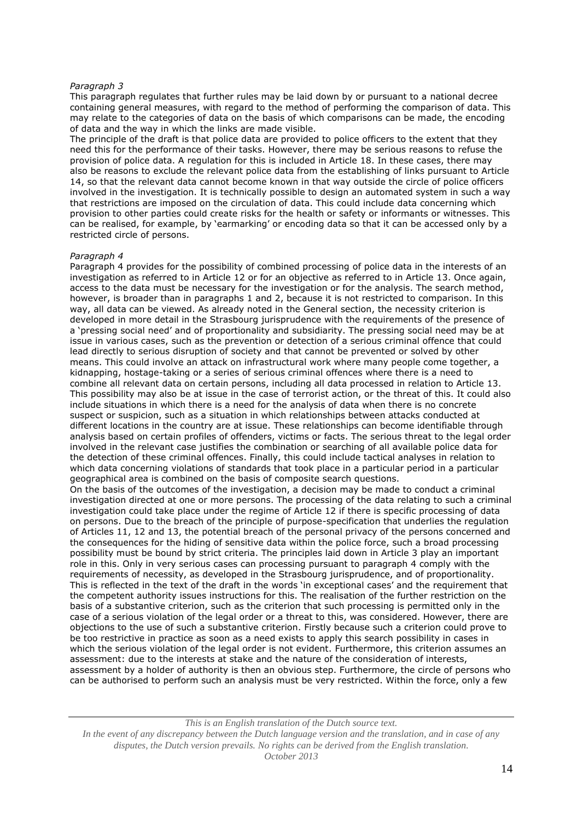This paragraph regulates that further rules may be laid down by or pursuant to a national decree containing general measures, with regard to the method of performing the comparison of data. This may relate to the categories of data on the basis of which comparisons can be made, the encoding of data and the way in which the links are made visible.

The principle of the draft is that police data are provided to police officers to the extent that they need this for the performance of their tasks. However, there may be serious reasons to refuse the provision of police data. A regulation for this is included in Article 18. In these cases, there may also be reasons to exclude the relevant police data from the establishing of links pursuant to Article 14, so that the relevant data cannot become known in that way outside the circle of police officers involved in the investigation. It is technically possible to design an automated system in such a way that restrictions are imposed on the circulation of data. This could include data concerning which provision to other parties could create risks for the health or safety or informants or witnesses. This can be realised, for example, by 'earmarking' or encoding data so that it can be accessed only by a restricted circle of persons.

#### *Paragraph 4*

Paragraph 4 provides for the possibility of combined processing of police data in the interests of an investigation as referred to in Article 12 or for an objective as referred to in Article 13. Once again, access to the data must be necessary for the investigation or for the analysis. The search method, however, is broader than in paragraphs 1 and 2, because it is not restricted to comparison. In this way, all data can be viewed. As already noted in the General section, the necessity criterion is developed in more detail in the Strasbourg jurisprudence with the requirements of the presence of a 'pressing social need' and of proportionality and subsidiarity. The pressing social need may be at issue in various cases, such as the prevention or detection of a serious criminal offence that could lead directly to serious disruption of society and that cannot be prevented or solved by other means. This could involve an attack on infrastructural work where many people come together, a kidnapping, hostage-taking or a series of serious criminal offences where there is a need to combine all relevant data on certain persons, including all data processed in relation to Article 13. This possibility may also be at issue in the case of terrorist action, or the threat of this. It could also include situations in which there is a need for the analysis of data when there is no concrete suspect or suspicion, such as a situation in which relationships between attacks conducted at different locations in the country are at issue. These relationships can become identifiable through analysis based on certain profiles of offenders, victims or facts. The serious threat to the legal order involved in the relevant case justifies the combination or searching of all available police data for the detection of these criminal offences. Finally, this could include tactical analyses in relation to which data concerning violations of standards that took place in a particular period in a particular geographical area is combined on the basis of composite search questions. On the basis of the outcomes of the investigation, a decision may be made to conduct a criminal

investigation directed at one or more persons. The processing of the data relating to such a criminal investigation could take place under the regime of Article 12 if there is specific processing of data on persons. Due to the breach of the principle of purpose-specification that underlies the regulation of Articles 11, 12 and 13, the potential breach of the personal privacy of the persons concerned and the consequences for the hiding of sensitive data within the police force, such a broad processing possibility must be bound by strict criteria. The principles laid down in Article 3 play an important role in this. Only in very serious cases can processing pursuant to paragraph 4 comply with the requirements of necessity, as developed in the Strasbourg jurisprudence, and of proportionality. This is reflected in the text of the draft in the words 'in exceptional cases' and the requirement that the competent authority issues instructions for this. The realisation of the further restriction on the basis of a substantive criterion, such as the criterion that such processing is permitted only in the case of a serious violation of the legal order or a threat to this, was considered. However, there are objections to the use of such a substantive criterion. Firstly because such a criterion could prove to be too restrictive in practice as soon as a need exists to apply this search possibility in cases in which the serious violation of the legal order is not evident. Furthermore, this criterion assumes an assessment: due to the interests at stake and the nature of the consideration of interests, assessment by a holder of authority is then an obvious step. Furthermore, the circle of persons who can be authorised to perform such an analysis must be very restricted. Within the force, only a few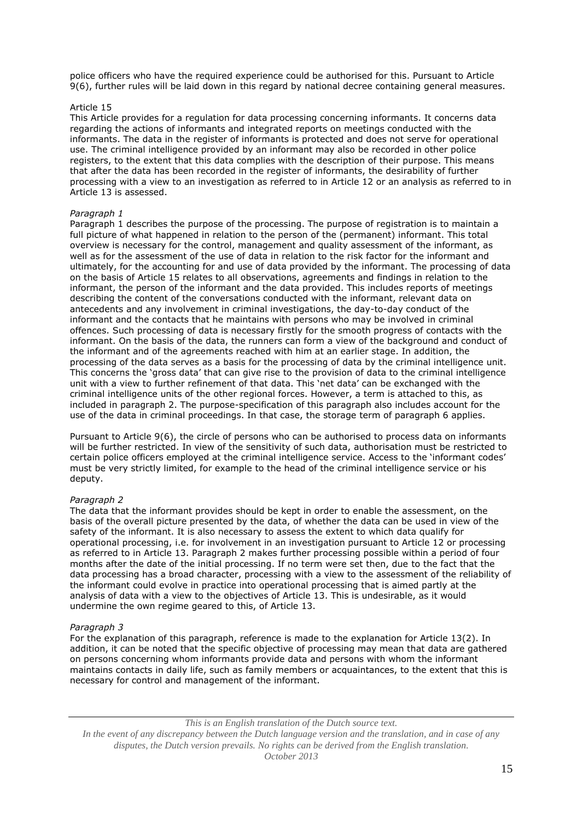police officers who have the required experience could be authorised for this. Pursuant to Article 9(6), further rules will be laid down in this regard by national decree containing general measures.

# Article 15

This Article provides for a regulation for data processing concerning informants. It concerns data regarding the actions of informants and integrated reports on meetings conducted with the informants. The data in the register of informants is protected and does not serve for operational use. The criminal intelligence provided by an informant may also be recorded in other police registers, to the extent that this data complies with the description of their purpose. This means that after the data has been recorded in the register of informants, the desirability of further processing with a view to an investigation as referred to in Article 12 or an analysis as referred to in Article 13 is assessed.

#### *Paragraph 1*

Paragraph 1 describes the purpose of the processing. The purpose of registration is to maintain a full picture of what happened in relation to the person of the (permanent) informant. This total overview is necessary for the control, management and quality assessment of the informant, as well as for the assessment of the use of data in relation to the risk factor for the informant and ultimately, for the accounting for and use of data provided by the informant. The processing of data on the basis of Article 15 relates to all observations, agreements and findings in relation to the informant, the person of the informant and the data provided. This includes reports of meetings describing the content of the conversations conducted with the informant, relevant data on antecedents and any involvement in criminal investigations, the day-to-day conduct of the informant and the contacts that he maintains with persons who may be involved in criminal offences. Such processing of data is necessary firstly for the smooth progress of contacts with the informant. On the basis of the data, the runners can form a view of the background and conduct of the informant and of the agreements reached with him at an earlier stage. In addition, the processing of the data serves as a basis for the processing of data by the criminal intelligence unit. This concerns the 'gross data' that can give rise to the provision of data to the criminal intelligence unit with a view to further refinement of that data. This 'net data' can be exchanged with the criminal intelligence units of the other regional forces. However, a term is attached to this, as included in paragraph 2. The purpose-specification of this paragraph also includes account for the use of the data in criminal proceedings. In that case, the storage term of paragraph 6 applies.

Pursuant to Article 9(6), the circle of persons who can be authorised to process data on informants will be further restricted. In view of the sensitivity of such data, authorisation must be restricted to certain police officers employed at the criminal intelligence service. Access to the 'informant codes' must be very strictly limited, for example to the head of the criminal intelligence service or his deputy.

### *Paragraph 2*

The data that the informant provides should be kept in order to enable the assessment, on the basis of the overall picture presented by the data, of whether the data can be used in view of the safety of the informant. It is also necessary to assess the extent to which data qualify for operational processing, i.e. for involvement in an investigation pursuant to Article 12 or processing as referred to in Article 13. Paragraph 2 makes further processing possible within a period of four months after the date of the initial processing. If no term were set then, due to the fact that the data processing has a broad character, processing with a view to the assessment of the reliability of the informant could evolve in practice into operational processing that is aimed partly at the analysis of data with a view to the objectives of Article 13. This is undesirable, as it would undermine the own regime geared to this, of Article 13.

#### *Paragraph 3*

For the explanation of this paragraph, reference is made to the explanation for Article 13(2). In addition, it can be noted that the specific objective of processing may mean that data are gathered on persons concerning whom informants provide data and persons with whom the informant maintains contacts in daily life, such as family members or acquaintances, to the extent that this is necessary for control and management of the informant.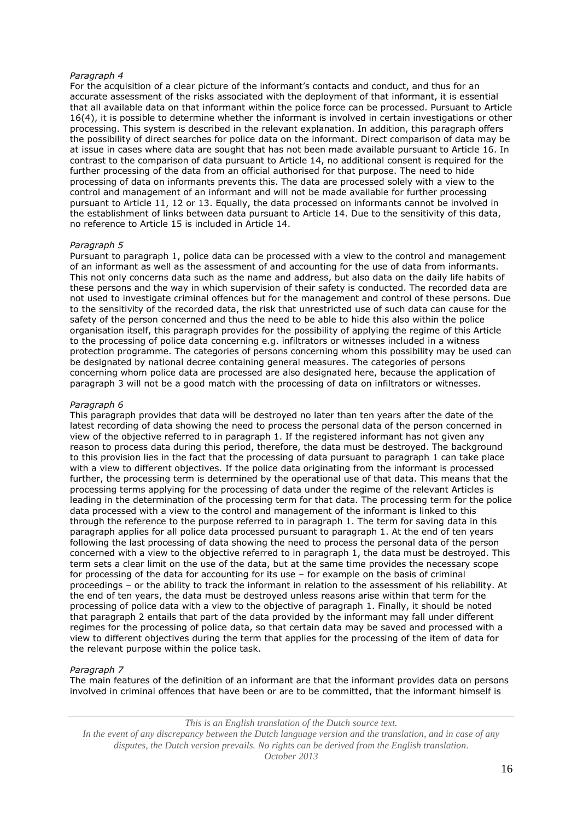For the acquisition of a clear picture of the informant's contacts and conduct, and thus for an accurate assessment of the risks associated with the deployment of that informant, it is essential that all available data on that informant within the police force can be processed. Pursuant to Article 16(4), it is possible to determine whether the informant is involved in certain investigations or other processing. This system is described in the relevant explanation. In addition, this paragraph offers the possibility of direct searches for police data on the informant. Direct comparison of data may be at issue in cases where data are sought that has not been made available pursuant to Article 16. In contrast to the comparison of data pursuant to Article 14, no additional consent is required for the further processing of the data from an official authorised for that purpose. The need to hide processing of data on informants prevents this. The data are processed solely with a view to the control and management of an informant and will not be made available for further processing pursuant to Article 11, 12 or 13. Equally, the data processed on informants cannot be involved in the establishment of links between data pursuant to Article 14. Due to the sensitivity of this data, no reference to Article 15 is included in Article 14.

# *Paragraph 5*

Pursuant to paragraph 1, police data can be processed with a view to the control and management of an informant as well as the assessment of and accounting for the use of data from informants. This not only concerns data such as the name and address, but also data on the daily life habits of these persons and the way in which supervision of their safety is conducted. The recorded data are not used to investigate criminal offences but for the management and control of these persons. Due to the sensitivity of the recorded data, the risk that unrestricted use of such data can cause for the safety of the person concerned and thus the need to be able to hide this also within the police organisation itself, this paragraph provides for the possibility of applying the regime of this Article to the processing of police data concerning e.g. infiltrators or witnesses included in a witness protection programme. The categories of persons concerning whom this possibility may be used can be designated by national decree containing general measures. The categories of persons concerning whom police data are processed are also designated here, because the application of paragraph 3 will not be a good match with the processing of data on infiltrators or witnesses.

#### *Paragraph 6*

This paragraph provides that data will be destroyed no later than ten years after the date of the latest recording of data showing the need to process the personal data of the person concerned in view of the objective referred to in paragraph 1. If the registered informant has not given any reason to process data during this period, therefore, the data must be destroyed. The background to this provision lies in the fact that the processing of data pursuant to paragraph 1 can take place with a view to different objectives. If the police data originating from the informant is processed further, the processing term is determined by the operational use of that data. This means that the processing terms applying for the processing of data under the regime of the relevant Articles is leading in the determination of the processing term for that data. The processing term for the police data processed with a view to the control and management of the informant is linked to this through the reference to the purpose referred to in paragraph 1. The term for saving data in this paragraph applies for all police data processed pursuant to paragraph 1. At the end of ten years following the last processing of data showing the need to process the personal data of the person concerned with a view to the objective referred to in paragraph 1, the data must be destroyed. This term sets a clear limit on the use of the data, but at the same time provides the necessary scope for processing of the data for accounting for its use – for example on the basis of criminal proceedings – or the ability to track the informant in relation to the assessment of his reliability. At the end of ten years, the data must be destroyed unless reasons arise within that term for the processing of police data with a view to the objective of paragraph 1. Finally, it should be noted that paragraph 2 entails that part of the data provided by the informant may fall under different regimes for the processing of police data, so that certain data may be saved and processed with a view to different objectives during the term that applies for the processing of the item of data for the relevant purpose within the police task.

#### *Paragraph 7*

The main features of the definition of an informant are that the informant provides data on persons involved in criminal offences that have been or are to be committed, that the informant himself is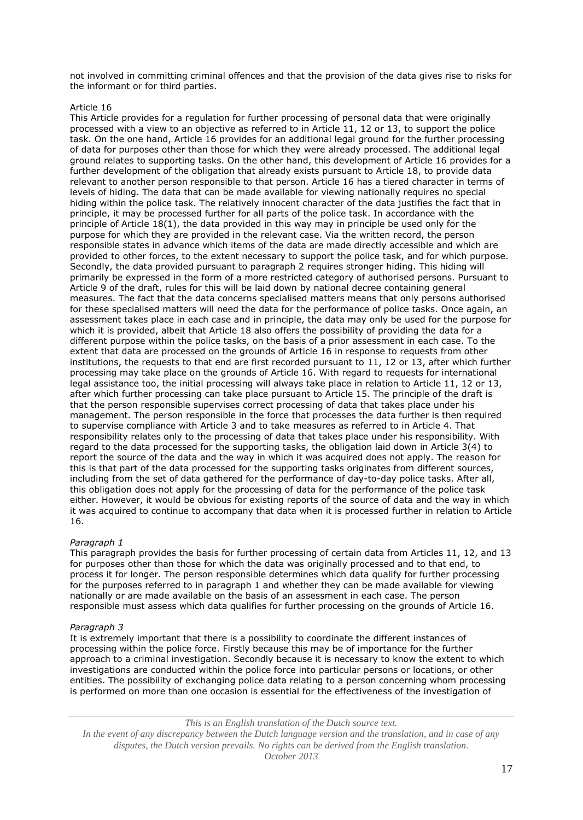not involved in committing criminal offences and that the provision of the data gives rise to risks for the informant or for third parties.

# Article 16

This Article provides for a regulation for further processing of personal data that were originally processed with a view to an objective as referred to in Article 11, 12 or 13, to support the police task. On the one hand, Article 16 provides for an additional legal ground for the further processing of data for purposes other than those for which they were already processed. The additional legal ground relates to supporting tasks. On the other hand, this development of Article 16 provides for a further development of the obligation that already exists pursuant to Article 18, to provide data relevant to another person responsible to that person. Article 16 has a tiered character in terms of levels of hiding. The data that can be made available for viewing nationally requires no special hiding within the police task. The relatively innocent character of the data justifies the fact that in principle, it may be processed further for all parts of the police task. In accordance with the principle of Article 18(1), the data provided in this way may in principle be used only for the purpose for which they are provided in the relevant case. Via the written record, the person responsible states in advance which items of the data are made directly accessible and which are provided to other forces, to the extent necessary to support the police task, and for which purpose. Secondly, the data provided pursuant to paragraph 2 requires stronger hiding. This hiding will primarily be expressed in the form of a more restricted category of authorised persons. Pursuant to Article 9 of the draft, rules for this will be laid down by national decree containing general measures. The fact that the data concerns specialised matters means that only persons authorised for these specialised matters will need the data for the performance of police tasks. Once again, an assessment takes place in each case and in principle, the data may only be used for the purpose for which it is provided, albeit that Article 18 also offers the possibility of providing the data for a different purpose within the police tasks, on the basis of a prior assessment in each case. To the extent that data are processed on the grounds of Article 16 in response to requests from other institutions, the requests to that end are first recorded pursuant to 11, 12 or 13, after which further processing may take place on the grounds of Article 16. With regard to requests for international legal assistance too, the initial processing will always take place in relation to Article 11, 12 or 13, after which further processing can take place pursuant to Article 15. The principle of the draft is that the person responsible supervises correct processing of data that takes place under his management. The person responsible in the force that processes the data further is then required to supervise compliance with Article 3 and to take measures as referred to in Article 4. That responsibility relates only to the processing of data that takes place under his responsibility. With regard to the data processed for the supporting tasks, the obligation laid down in Article 3(4) to report the source of the data and the way in which it was acquired does not apply. The reason for this is that part of the data processed for the supporting tasks originates from different sources, including from the set of data gathered for the performance of day-to-day police tasks. After all, this obligation does not apply for the processing of data for the performance of the police task either. However, it would be obvious for existing reports of the source of data and the way in which it was acquired to continue to accompany that data when it is processed further in relation to Article 16.

#### *Paragraph 1*

This paragraph provides the basis for further processing of certain data from Articles 11, 12, and 13 for purposes other than those for which the data was originally processed and to that end, to process it for longer. The person responsible determines which data qualify for further processing for the purposes referred to in paragraph 1 and whether they can be made available for viewing nationally or are made available on the basis of an assessment in each case. The person responsible must assess which data qualifies for further processing on the grounds of Article 16.

#### *Paragraph 3*

It is extremely important that there is a possibility to coordinate the different instances of processing within the police force. Firstly because this may be of importance for the further approach to a criminal investigation. Secondly because it is necessary to know the extent to which investigations are conducted within the police force into particular persons or locations, or other entities. The possibility of exchanging police data relating to a person concerning whom processing is performed on more than one occasion is essential for the effectiveness of the investigation of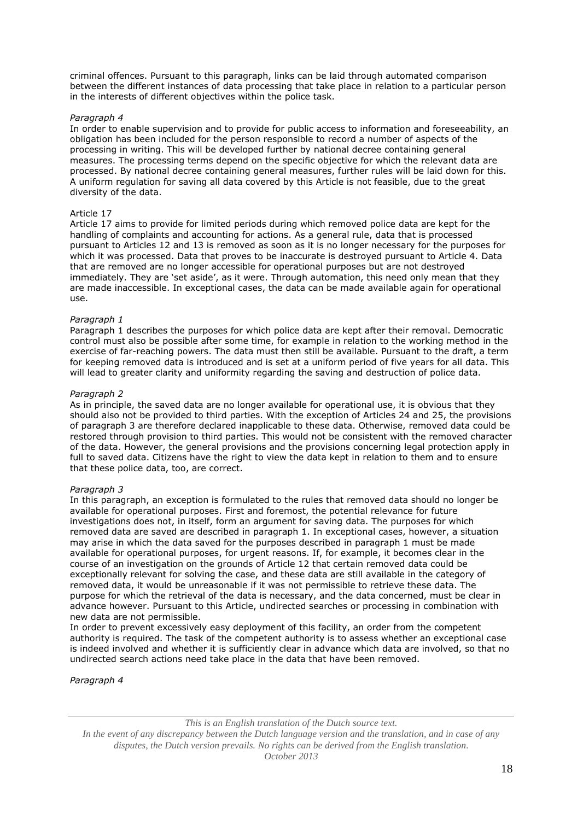criminal offences. Pursuant to this paragraph, links can be laid through automated comparison between the different instances of data processing that take place in relation to a particular person in the interests of different objectives within the police task.

# *Paragraph 4*

In order to enable supervision and to provide for public access to information and foreseeability, an obligation has been included for the person responsible to record a number of aspects of the processing in writing. This will be developed further by national decree containing general measures. The processing terms depend on the specific objective for which the relevant data are processed. By national decree containing general measures, further rules will be laid down for this. A uniform regulation for saving all data covered by this Article is not feasible, due to the great diversity of the data.

# Article 17

Article 17 aims to provide for limited periods during which removed police data are kept for the handling of complaints and accounting for actions. As a general rule, data that is processed pursuant to Articles 12 and 13 is removed as soon as it is no longer necessary for the purposes for which it was processed. Data that proves to be inaccurate is destroyed pursuant to Article 4. Data that are removed are no longer accessible for operational purposes but are not destroyed immediately. They are 'set aside', as it were. Through automation, this need only mean that they are made inaccessible. In exceptional cases, the data can be made available again for operational use.

# *Paragraph 1*

Paragraph 1 describes the purposes for which police data are kept after their removal. Democratic control must also be possible after some time, for example in relation to the working method in the exercise of far-reaching powers. The data must then still be available. Pursuant to the draft, a term for keeping removed data is introduced and is set at a uniform period of five years for all data. This will lead to greater clarity and uniformity regarding the saving and destruction of police data.

# *Paragraph 2*

As in principle, the saved data are no longer available for operational use, it is obvious that they should also not be provided to third parties. With the exception of Articles 24 and 25, the provisions of paragraph 3 are therefore declared inapplicable to these data. Otherwise, removed data could be restored through provision to third parties. This would not be consistent with the removed character of the data. However, the general provisions and the provisions concerning legal protection apply in full to saved data. Citizens have the right to view the data kept in relation to them and to ensure that these police data, too, are correct.

# *Paragraph 3*

In this paragraph, an exception is formulated to the rules that removed data should no longer be available for operational purposes. First and foremost, the potential relevance for future investigations does not, in itself, form an argument for saving data. The purposes for which removed data are saved are described in paragraph 1. In exceptional cases, however, a situation may arise in which the data saved for the purposes described in paragraph 1 must be made available for operational purposes, for urgent reasons. If, for example, it becomes clear in the course of an investigation on the grounds of Article 12 that certain removed data could be exceptionally relevant for solving the case, and these data are still available in the category of removed data, it would be unreasonable if it was not permissible to retrieve these data. The purpose for which the retrieval of the data is necessary, and the data concerned, must be clear in advance however. Pursuant to this Article, undirected searches or processing in combination with new data are not permissible.

In order to prevent excessively easy deployment of this facility, an order from the competent authority is required. The task of the competent authority is to assess whether an exceptional case is indeed involved and whether it is sufficiently clear in advance which data are involved, so that no undirected search actions need take place in the data that have been removed.

*Paragraph 4*

*This is an English translation of the Dutch source text.*

*In the event of any discrepancy between the Dutch language version and the translation, and in case of any disputes, the Dutch version prevails. No rights can be derived from the English translation. October 2013*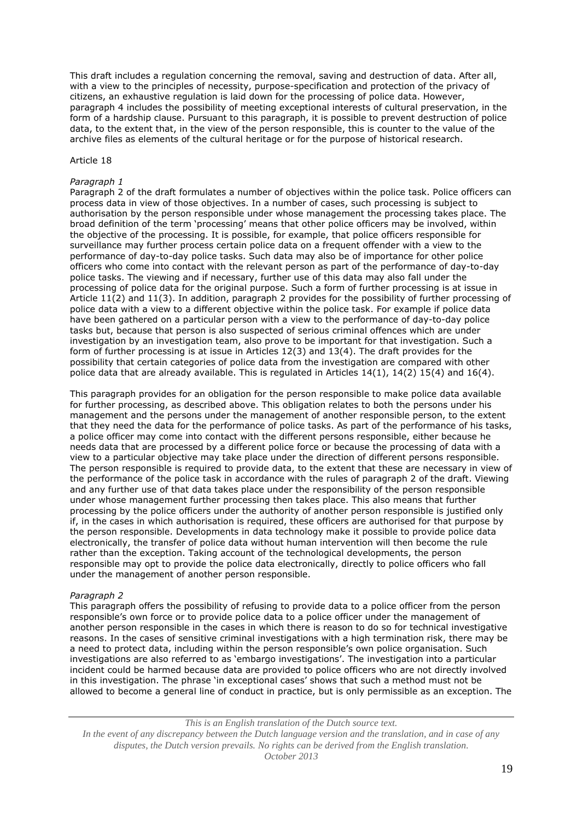This draft includes a regulation concerning the removal, saving and destruction of data. After all, with a view to the principles of necessity, purpose-specification and protection of the privacy of citizens, an exhaustive regulation is laid down for the processing of police data. However, paragraph 4 includes the possibility of meeting exceptional interests of cultural preservation, in the form of a hardship clause. Pursuant to this paragraph, it is possible to prevent destruction of police data, to the extent that, in the view of the person responsible, this is counter to the value of the archive files as elements of the cultural heritage or for the purpose of historical research.

#### Article 18

#### *Paragraph 1*

Paragraph 2 of the draft formulates a number of objectives within the police task. Police officers can process data in view of those objectives. In a number of cases, such processing is subject to authorisation by the person responsible under whose management the processing takes place. The broad definition of the term 'processing' means that other police officers may be involved, within the objective of the processing. It is possible, for example, that police officers responsible for surveillance may further process certain police data on a frequent offender with a view to the performance of day-to-day police tasks. Such data may also be of importance for other police officers who come into contact with the relevant person as part of the performance of day-to-day police tasks. The viewing and if necessary, further use of this data may also fall under the processing of police data for the original purpose. Such a form of further processing is at issue in Article 11(2) and 11(3). In addition, paragraph 2 provides for the possibility of further processing of police data with a view to a different objective within the police task. For example if police data have been gathered on a particular person with a view to the performance of day-to-day police tasks but, because that person is also suspected of serious criminal offences which are under investigation by an investigation team, also prove to be important for that investigation. Such a form of further processing is at issue in Articles 12(3) and 13(4). The draft provides for the possibility that certain categories of police data from the investigation are compared with other police data that are already available. This is regulated in Articles 14(1), 14(2) 15(4) and 16(4).

This paragraph provides for an obligation for the person responsible to make police data available for further processing, as described above. This obligation relates to both the persons under his management and the persons under the management of another responsible person, to the extent that they need the data for the performance of police tasks. As part of the performance of his tasks, a police officer may come into contact with the different persons responsible, either because he needs data that are processed by a different police force or because the processing of data with a view to a particular objective may take place under the direction of different persons responsible. The person responsible is required to provide data, to the extent that these are necessary in view of the performance of the police task in accordance with the rules of paragraph 2 of the draft. Viewing and any further use of that data takes place under the responsibility of the person responsible under whose management further processing then takes place. This also means that further processing by the police officers under the authority of another person responsible is justified only if, in the cases in which authorisation is required, these officers are authorised for that purpose by the person responsible. Developments in data technology make it possible to provide police data electronically, the transfer of police data without human intervention will then become the rule rather than the exception. Taking account of the technological developments, the person responsible may opt to provide the police data electronically, directly to police officers who fall under the management of another person responsible.

#### *Paragraph 2*

This paragraph offers the possibility of refusing to provide data to a police officer from the person responsible's own force or to provide police data to a police officer under the management of another person responsible in the cases in which there is reason to do so for technical investigative reasons. In the cases of sensitive criminal investigations with a high termination risk, there may be a need to protect data, including within the person responsible's own police organisation. Such investigations are also referred to as 'embargo investigations'. The investigation into a particular incident could be harmed because data are provided to police officers who are not directly involved in this investigation. The phrase 'in exceptional cases' shows that such a method must not be allowed to become a general line of conduct in practice, but is only permissible as an exception. The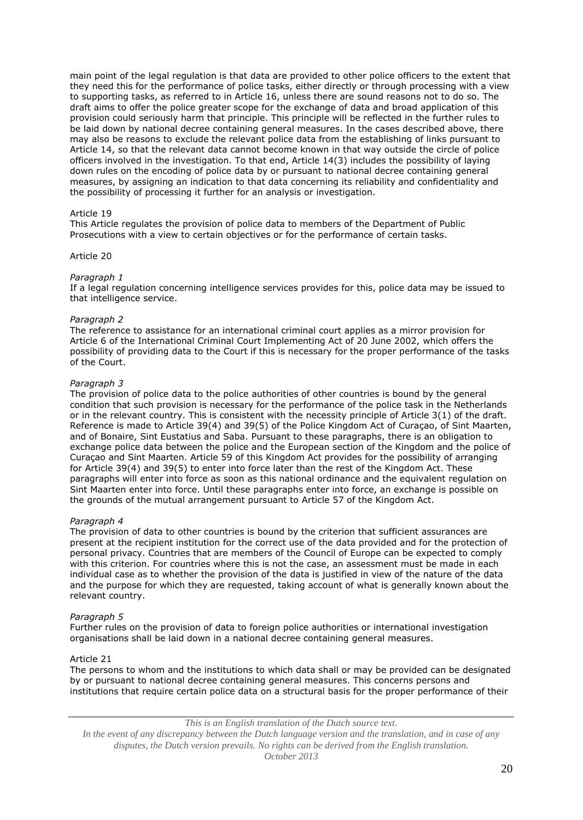main point of the legal regulation is that data are provided to other police officers to the extent that they need this for the performance of police tasks, either directly or through processing with a view to supporting tasks, as referred to in Article 16, unless there are sound reasons not to do so. The draft aims to offer the police greater scope for the exchange of data and broad application of this provision could seriously harm that principle. This principle will be reflected in the further rules to be laid down by national decree containing general measures. In the cases described above, there may also be reasons to exclude the relevant police data from the establishing of links pursuant to Article 14, so that the relevant data cannot become known in that way outside the circle of police officers involved in the investigation. To that end, Article 14(3) includes the possibility of laying down rules on the encoding of police data by or pursuant to national decree containing general measures, by assigning an indication to that data concerning its reliability and confidentiality and the possibility of processing it further for an analysis or investigation.

# Article 19

This Article regulates the provision of police data to members of the Department of Public Prosecutions with a view to certain objectives or for the performance of certain tasks.

# Article 20

# *Paragraph 1*

If a legal regulation concerning intelligence services provides for this, police data may be issued to that intelligence service.

### *Paragraph 2*

The reference to assistance for an international criminal court applies as a mirror provision for Article 6 of the International Criminal Court Implementing Act of 20 June 2002, which offers the possibility of providing data to the Court if this is necessary for the proper performance of the tasks of the Court.

# *Paragraph 3*

The provision of police data to the police authorities of other countries is bound by the general condition that such provision is necessary for the performance of the police task in the Netherlands or in the relevant country. This is consistent with the necessity principle of Article 3(1) of the draft. Reference is made to Article 39(4) and 39(5) of the Police Kingdom Act of Curaçao, of Sint Maarten, and of Bonaire, Sint Eustatius and Saba. Pursuant to these paragraphs, there is an obligation to exchange police data between the police and the European section of the Kingdom and the police of Curaçao and Sint Maarten. Article 59 of this Kingdom Act provides for the possibility of arranging for Article 39(4) and 39(5) to enter into force later than the rest of the Kingdom Act. These paragraphs will enter into force as soon as this national ordinance and the equivalent regulation on Sint Maarten enter into force. Until these paragraphs enter into force, an exchange is possible on the grounds of the mutual arrangement pursuant to Article 57 of the Kingdom Act.

#### *Paragraph 4*

The provision of data to other countries is bound by the criterion that sufficient assurances are present at the recipient institution for the correct use of the data provided and for the protection of personal privacy. Countries that are members of the Council of Europe can be expected to comply with this criterion. For countries where this is not the case, an assessment must be made in each individual case as to whether the provision of the data is justified in view of the nature of the data and the purpose for which they are requested, taking account of what is generally known about the relevant country.

#### *Paragraph 5*

Further rules on the provision of data to foreign police authorities or international investigation organisations shall be laid down in a national decree containing general measures.

# Article 21

The persons to whom and the institutions to which data shall or may be provided can be designated by or pursuant to national decree containing general measures. This concerns persons and institutions that require certain police data on a structural basis for the proper performance of their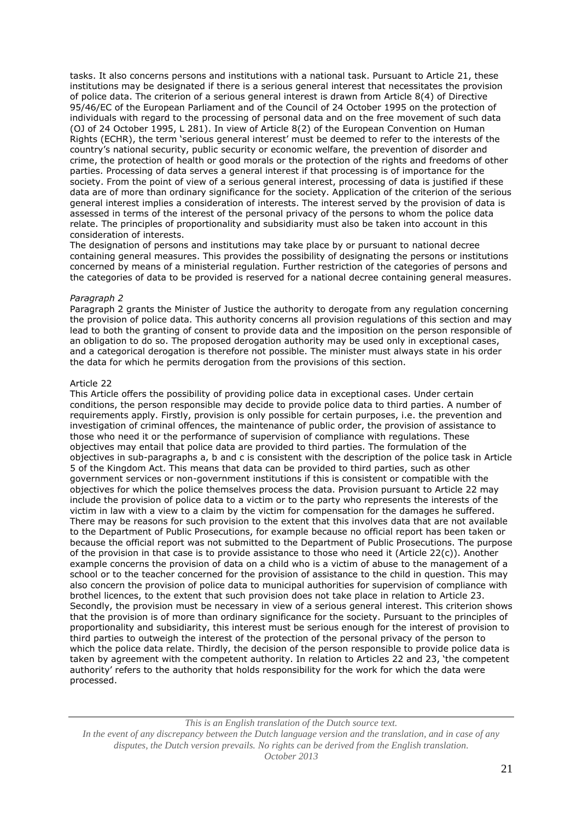tasks. It also concerns persons and institutions with a national task. Pursuant to Article 21, these institutions may be designated if there is a serious general interest that necessitates the provision of police data. The criterion of a serious general interest is drawn from Article 8(4) of Directive 95/46/EC of the European Parliament and of the Council of 24 October 1995 on the protection of individuals with regard to the processing of personal data and on the free movement of such data (OJ of 24 October 1995, L 281). In view of Article 8(2) of the European Convention on Human Rights (ECHR), the term 'serious general interest' must be deemed to refer to the interests of the country's national security, public security or economic welfare, the prevention of disorder and crime, the protection of health or good morals or the protection of the rights and freedoms of other parties. Processing of data serves a general interest if that processing is of importance for the society. From the point of view of a serious general interest, processing of data is justified if these data are of more than ordinary significance for the society. Application of the criterion of the serious general interest implies a consideration of interests. The interest served by the provision of data is assessed in terms of the interest of the personal privacy of the persons to whom the police data relate. The principles of proportionality and subsidiarity must also be taken into account in this consideration of interests.

The designation of persons and institutions may take place by or pursuant to national decree containing general measures. This provides the possibility of designating the persons or institutions concerned by means of a ministerial regulation. Further restriction of the categories of persons and the categories of data to be provided is reserved for a national decree containing general measures.

# *Paragraph 2*

Paragraph 2 grants the Minister of Justice the authority to derogate from any regulation concerning the provision of police data. This authority concerns all provision regulations of this section and may lead to both the granting of consent to provide data and the imposition on the person responsible of an obligation to do so. The proposed derogation authority may be used only in exceptional cases, and a categorical derogation is therefore not possible. The minister must always state in his order the data for which he permits derogation from the provisions of this section.

# Article 22

This Article offers the possibility of providing police data in exceptional cases. Under certain conditions, the person responsible may decide to provide police data to third parties. A number of requirements apply. Firstly, provision is only possible for certain purposes, i.e. the prevention and investigation of criminal offences, the maintenance of public order, the provision of assistance to those who need it or the performance of supervision of compliance with regulations. These objectives may entail that police data are provided to third parties. The formulation of the objectives in sub-paragraphs a, b and c is consistent with the description of the police task in Article 5 of the Kingdom Act. This means that data can be provided to third parties, such as other government services or non-government institutions if this is consistent or compatible with the objectives for which the police themselves process the data. Provision pursuant to Article 22 may include the provision of police data to a victim or to the party who represents the interests of the victim in law with a view to a claim by the victim for compensation for the damages he suffered. There may be reasons for such provision to the extent that this involves data that are not available to the Department of Public Prosecutions, for example because no official report has been taken or because the official report was not submitted to the Department of Public Prosecutions. The purpose of the provision in that case is to provide assistance to those who need it (Article 22(c)). Another example concerns the provision of data on a child who is a victim of abuse to the management of a school or to the teacher concerned for the provision of assistance to the child in question. This may also concern the provision of police data to municipal authorities for supervision of compliance with brothel licences, to the extent that such provision does not take place in relation to Article 23. Secondly, the provision must be necessary in view of a serious general interest. This criterion shows that the provision is of more than ordinary significance for the society. Pursuant to the principles of proportionality and subsidiarity, this interest must be serious enough for the interest of provision to third parties to outweigh the interest of the protection of the personal privacy of the person to which the police data relate. Thirdly, the decision of the person responsible to provide police data is taken by agreement with the competent authority. In relation to Articles 22 and 23, 'the competent authority' refers to the authority that holds responsibility for the work for which the data were processed.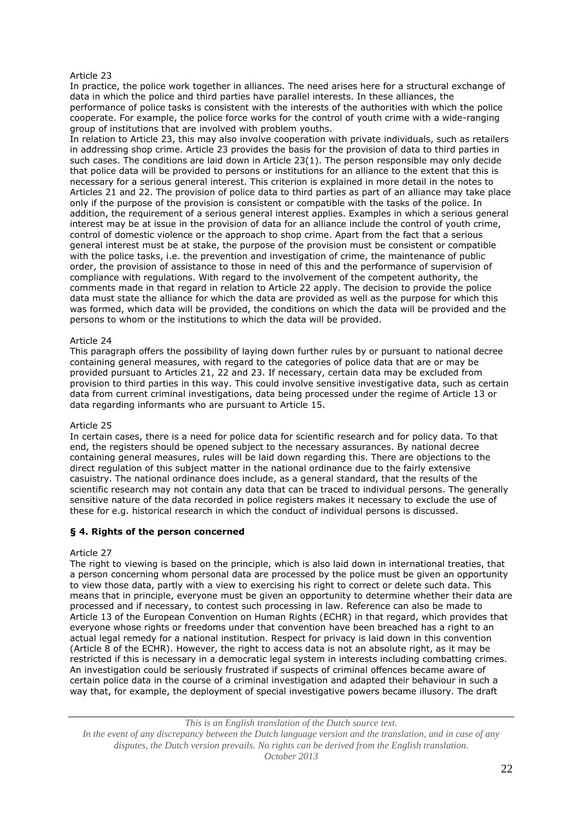# Article 23

In practice, the police work together in alliances. The need arises here for a structural exchange of data in which the police and third parties have parallel interests. In these alliances, the performance of police tasks is consistent with the interests of the authorities with which the police cooperate. For example, the police force works for the control of youth crime with a wide-ranging group of institutions that are involved with problem youths.

In relation to Article 23, this may also involve cooperation with private individuals, such as retailers in addressing shop crime. Article 23 provides the basis for the provision of data to third parties in such cases. The conditions are laid down in Article 23(1). The person responsible may only decide that police data will be provided to persons or institutions for an alliance to the extent that this is necessary for a serious general interest. This criterion is explained in more detail in the notes to Articles 21 and 22. The provision of police data to third parties as part of an alliance may take place only if the purpose of the provision is consistent or compatible with the tasks of the police. In addition, the requirement of a serious general interest applies. Examples in which a serious general interest may be at issue in the provision of data for an alliance include the control of youth crime, control of domestic violence or the approach to shop crime. Apart from the fact that a serious general interest must be at stake, the purpose of the provision must be consistent or compatible with the police tasks, i.e. the prevention and investigation of crime, the maintenance of public order, the provision of assistance to those in need of this and the performance of supervision of compliance with regulations. With regard to the involvement of the competent authority, the comments made in that regard in relation to Article 22 apply. The decision to provide the police data must state the alliance for which the data are provided as well as the purpose for which this was formed, which data will be provided, the conditions on which the data will be provided and the persons to whom or the institutions to which the data will be provided.

# Article 24

This paragraph offers the possibility of laying down further rules by or pursuant to national decree containing general measures, with regard to the categories of police data that are or may be provided pursuant to Articles 21, 22 and 23. If necessary, certain data may be excluded from provision to third parties in this way. This could involve sensitive investigative data, such as certain data from current criminal investigations, data being processed under the regime of Article 13 or data regarding informants who are pursuant to Article 15.

#### Article 25

In certain cases, there is a need for police data for scientific research and for policy data. To that end, the registers should be opened subject to the necessary assurances. By national decree containing general measures, rules will be laid down regarding this. There are objections to the direct regulation of this subject matter in the national ordinance due to the fairly extensive casuistry. The national ordinance does include, as a general standard, that the results of the scientific research may not contain any data that can be traced to individual persons. The generally sensitive nature of the data recorded in police registers makes it necessary to exclude the use of these for e.g. historical research in which the conduct of individual persons is discussed.

# **§ 4. Rights of the person concerned**

# Article 27

The right to viewing is based on the principle, which is also laid down in international treaties, that a person concerning whom personal data are processed by the police must be given an opportunity to view those data, partly with a view to exercising his right to correct or delete such data. This means that in principle, everyone must be given an opportunity to determine whether their data are processed and if necessary, to contest such processing in law. Reference can also be made to Article 13 of the European Convention on Human Rights (ECHR) in that regard, which provides that everyone whose rights or freedoms under that convention have been breached has a right to an actual legal remedy for a national institution. Respect for privacy is laid down in this convention (Article 8 of the ECHR). However, the right to access data is not an absolute right, as it may be restricted if this is necessary in a democratic legal system in interests including combatting crimes. An investigation could be seriously frustrated if suspects of criminal offences became aware of certain police data in the course of a criminal investigation and adapted their behaviour in such a way that, for example, the deployment of special investigative powers became illusory. The draft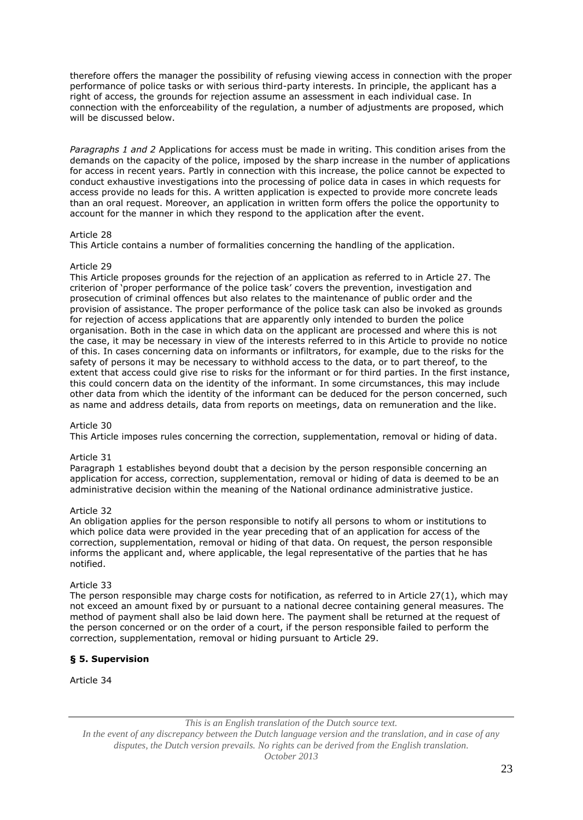therefore offers the manager the possibility of refusing viewing access in connection with the proper performance of police tasks or with serious third-party interests. In principle, the applicant has a right of access, the grounds for rejection assume an assessment in each individual case. In connection with the enforceability of the regulation, a number of adjustments are proposed, which will be discussed below.

*Paragraphs 1 and 2* Applications for access must be made in writing. This condition arises from the demands on the capacity of the police, imposed by the sharp increase in the number of applications for access in recent years. Partly in connection with this increase, the police cannot be expected to conduct exhaustive investigations into the processing of police data in cases in which requests for access provide no leads for this. A written application is expected to provide more concrete leads than an oral request. Moreover, an application in written form offers the police the opportunity to account for the manner in which they respond to the application after the event.

# Article 28

This Article contains a number of formalities concerning the handling of the application.

# Article 29

This Article proposes grounds for the rejection of an application as referred to in Article 27. The criterion of 'proper performance of the police task' covers the prevention, investigation and prosecution of criminal offences but also relates to the maintenance of public order and the provision of assistance. The proper performance of the police task can also be invoked as grounds for rejection of access applications that are apparently only intended to burden the police organisation. Both in the case in which data on the applicant are processed and where this is not the case, it may be necessary in view of the interests referred to in this Article to provide no notice of this. In cases concerning data on informants or infiltrators, for example, due to the risks for the safety of persons it may be necessary to withhold access to the data, or to part thereof, to the extent that access could give rise to risks for the informant or for third parties. In the first instance, this could concern data on the identity of the informant. In some circumstances, this may include other data from which the identity of the informant can be deduced for the person concerned, such as name and address details, data from reports on meetings, data on remuneration and the like.

# Article 30

This Article imposes rules concerning the correction, supplementation, removal or hiding of data.

# Article 31

Paragraph 1 establishes beyond doubt that a decision by the person responsible concerning an application for access, correction, supplementation, removal or hiding of data is deemed to be an administrative decision within the meaning of the National ordinance administrative justice.

# Article 32

An obligation applies for the person responsible to notify all persons to whom or institutions to which police data were provided in the year preceding that of an application for access of the correction, supplementation, removal or hiding of that data. On request, the person responsible informs the applicant and, where applicable, the legal representative of the parties that he has notified.

# Article 33

The person responsible may charge costs for notification, as referred to in Article 27(1), which may not exceed an amount fixed by or pursuant to a national decree containing general measures. The method of payment shall also be laid down here. The payment shall be returned at the request of the person concerned or on the order of a court, if the person responsible failed to perform the correction, supplementation, removal or hiding pursuant to Article 29.

# **§ 5. Supervision**

Article 34

*This is an English translation of the Dutch source text.*

*In the event of any discrepancy between the Dutch language version and the translation, and in case of any disputes, the Dutch version prevails. No rights can be derived from the English translation. October 2013*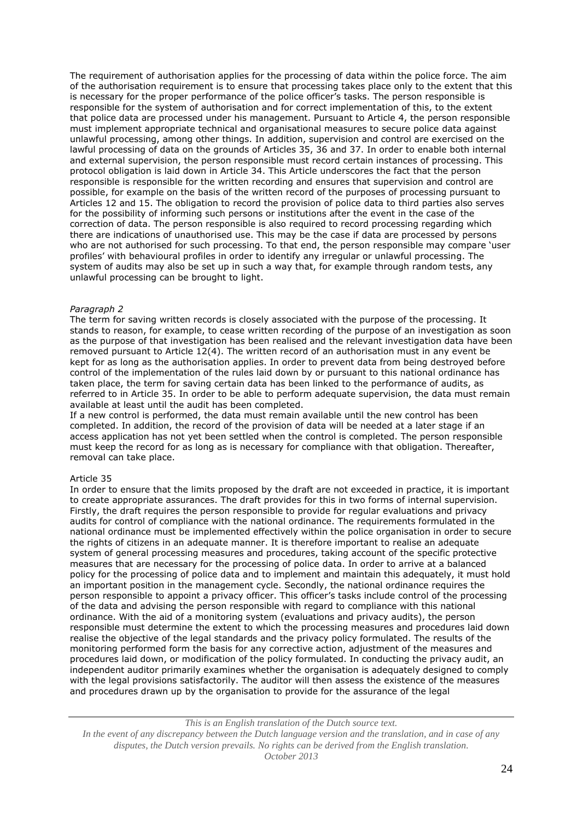The requirement of authorisation applies for the processing of data within the police force. The aim of the authorisation requirement is to ensure that processing takes place only to the extent that this is necessary for the proper performance of the police officer's tasks. The person responsible is responsible for the system of authorisation and for correct implementation of this, to the extent that police data are processed under his management. Pursuant to Article 4, the person responsible must implement appropriate technical and organisational measures to secure police data against unlawful processing, among other things. In addition, supervision and control are exercised on the lawful processing of data on the grounds of Articles 35, 36 and 37. In order to enable both internal and external supervision, the person responsible must record certain instances of processing. This protocol obligation is laid down in Article 34. This Article underscores the fact that the person responsible is responsible for the written recording and ensures that supervision and control are possible, for example on the basis of the written record of the purposes of processing pursuant to Articles 12 and 15. The obligation to record the provision of police data to third parties also serves for the possibility of informing such persons or institutions after the event in the case of the correction of data. The person responsible is also required to record processing regarding which there are indications of unauthorised use. This may be the case if data are processed by persons who are not authorised for such processing. To that end, the person responsible may compare 'user profiles' with behavioural profiles in order to identify any irregular or unlawful processing. The system of audits may also be set up in such a way that, for example through random tests, any unlawful processing can be brought to light.

# *Paragraph 2*

The term for saving written records is closely associated with the purpose of the processing. It stands to reason, for example, to cease written recording of the purpose of an investigation as soon as the purpose of that investigation has been realised and the relevant investigation data have been removed pursuant to Article 12(4). The written record of an authorisation must in any event be kept for as long as the authorisation applies. In order to prevent data from being destroyed before control of the implementation of the rules laid down by or pursuant to this national ordinance has taken place, the term for saving certain data has been linked to the performance of audits, as referred to in Article 35. In order to be able to perform adequate supervision, the data must remain available at least until the audit has been completed.

If a new control is performed, the data must remain available until the new control has been completed. In addition, the record of the provision of data will be needed at a later stage if an access application has not yet been settled when the control is completed. The person responsible must keep the record for as long as is necessary for compliance with that obligation. Thereafter, removal can take place.

#### Article 35

In order to ensure that the limits proposed by the draft are not exceeded in practice, it is important to create appropriate assurances. The draft provides for this in two forms of internal supervision. Firstly, the draft requires the person responsible to provide for regular evaluations and privacy audits for control of compliance with the national ordinance. The requirements formulated in the national ordinance must be implemented effectively within the police organisation in order to secure the rights of citizens in an adequate manner. It is therefore important to realise an adequate system of general processing measures and procedures, taking account of the specific protective measures that are necessary for the processing of police data. In order to arrive at a balanced policy for the processing of police data and to implement and maintain this adequately, it must hold an important position in the management cycle. Secondly, the national ordinance requires the person responsible to appoint a privacy officer. This officer's tasks include control of the processing of the data and advising the person responsible with regard to compliance with this national ordinance. With the aid of a monitoring system (evaluations and privacy audits), the person responsible must determine the extent to which the processing measures and procedures laid down realise the objective of the legal standards and the privacy policy formulated. The results of the monitoring performed form the basis for any corrective action, adjustment of the measures and procedures laid down, or modification of the policy formulated. In conducting the privacy audit, an independent auditor primarily examines whether the organisation is adequately designed to comply with the legal provisions satisfactorily. The auditor will then assess the existence of the measures and procedures drawn up by the organisation to provide for the assurance of the legal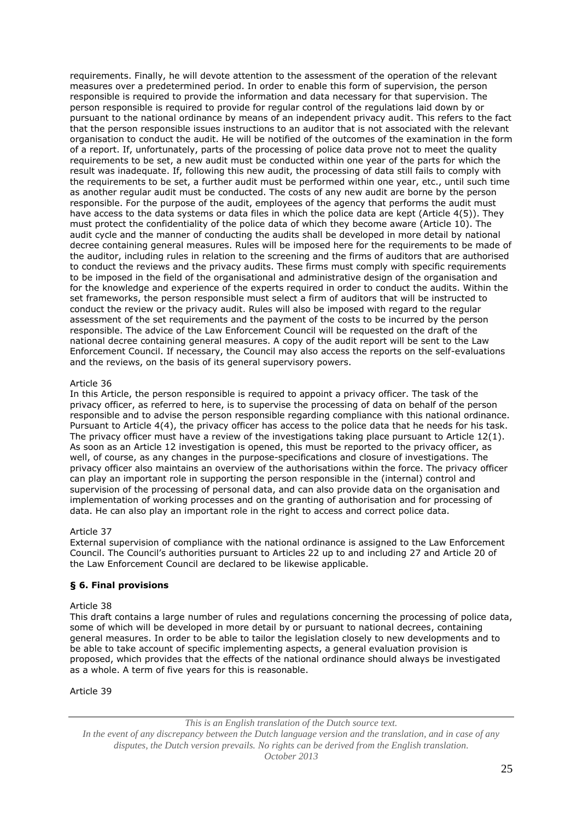requirements. Finally, he will devote attention to the assessment of the operation of the relevant measures over a predetermined period. In order to enable this form of supervision, the person responsible is required to provide the information and data necessary for that supervision. The person responsible is required to provide for regular control of the regulations laid down by or pursuant to the national ordinance by means of an independent privacy audit. This refers to the fact that the person responsible issues instructions to an auditor that is not associated with the relevant organisation to conduct the audit. He will be notified of the outcomes of the examination in the form of a report. If, unfortunately, parts of the processing of police data prove not to meet the quality requirements to be set, a new audit must be conducted within one year of the parts for which the result was inadequate. If, following this new audit, the processing of data still fails to comply with the requirements to be set, a further audit must be performed within one year, etc., until such time as another regular audit must be conducted. The costs of any new audit are borne by the person responsible. For the purpose of the audit, employees of the agency that performs the audit must have access to the data systems or data files in which the police data are kept (Article 4(5)). They must protect the confidentiality of the police data of which they become aware (Article 10). The audit cycle and the manner of conducting the audits shall be developed in more detail by national decree containing general measures. Rules will be imposed here for the requirements to be made of the auditor, including rules in relation to the screening and the firms of auditors that are authorised to conduct the reviews and the privacy audits. These firms must comply with specific requirements to be imposed in the field of the organisational and administrative design of the organisation and for the knowledge and experience of the experts required in order to conduct the audits. Within the set frameworks, the person responsible must select a firm of auditors that will be instructed to conduct the review or the privacy audit. Rules will also be imposed with regard to the regular assessment of the set requirements and the payment of the costs to be incurred by the person responsible. The advice of the Law Enforcement Council will be requested on the draft of the national decree containing general measures. A copy of the audit report will be sent to the Law Enforcement Council. If necessary, the Council may also access the reports on the self-evaluations and the reviews, on the basis of its general supervisory powers.

# Article 36

In this Article, the person responsible is required to appoint a privacy officer. The task of the privacy officer, as referred to here, is to supervise the processing of data on behalf of the person responsible and to advise the person responsible regarding compliance with this national ordinance. Pursuant to Article 4(4), the privacy officer has access to the police data that he needs for his task. The privacy officer must have a review of the investigations taking place pursuant to Article 12(1). As soon as an Article 12 investigation is opened, this must be reported to the privacy officer, as well, of course, as any changes in the purpose-specifications and closure of investigations. The privacy officer also maintains an overview of the authorisations within the force. The privacy officer can play an important role in supporting the person responsible in the (internal) control and supervision of the processing of personal data, and can also provide data on the organisation and implementation of working processes and on the granting of authorisation and for processing of data. He can also play an important role in the right to access and correct police data.

# Article 37

External supervision of compliance with the national ordinance is assigned to the Law Enforcement Council. The Council's authorities pursuant to Articles 22 up to and including 27 and Article 20 of the Law Enforcement Council are declared to be likewise applicable.

# **§ 6. Final provisions**

# Article 38

This draft contains a large number of rules and regulations concerning the processing of police data, some of which will be developed in more detail by or pursuant to national decrees, containing general measures. In order to be able to tailor the legislation closely to new developments and to be able to take account of specific implementing aspects, a general evaluation provision is proposed, which provides that the effects of the national ordinance should always be investigated as a whole. A term of five years for this is reasonable.

# Article 39

*This is an English translation of the Dutch source text.*

*In the event of any discrepancy between the Dutch language version and the translation, and in case of any disputes, the Dutch version prevails. No rights can be derived from the English translation. October 2013*